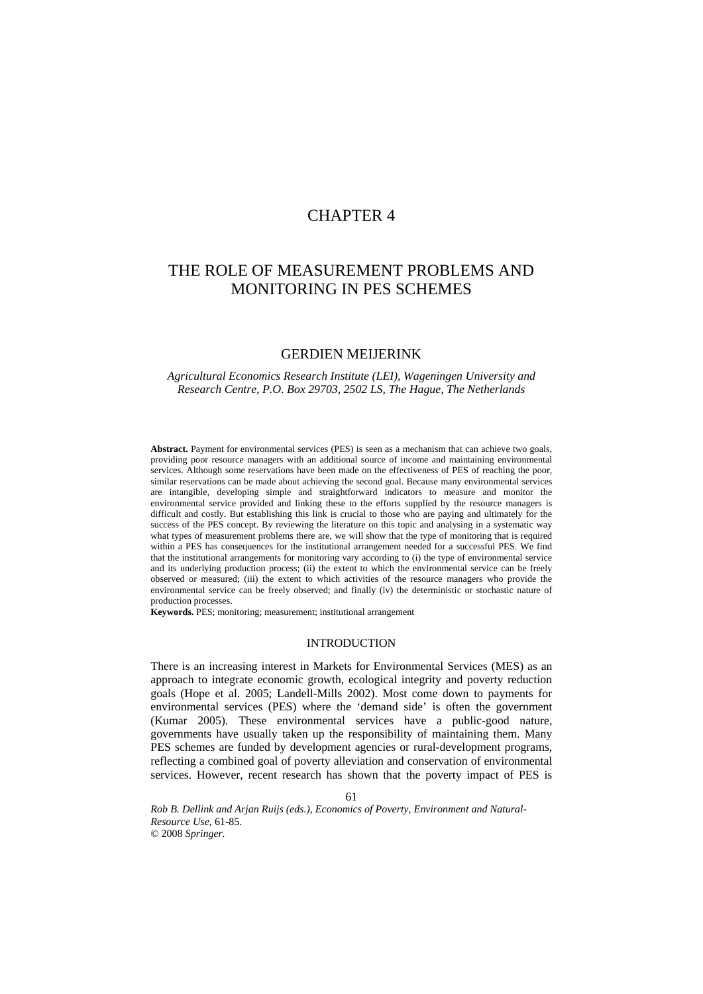# CHAPTER 4

# THE ROLE OF MEASUREMENT PROBLEMS AND MONITORING IN PES SCHEMES

## GERDIEN MEIJERINK

#### *Agricultural Economics Research Institute (LEI), Wageningen University and Research Centre, P.O. Box 29703, 2502 LS, The Hague, The Netherlands*

**Abstract.** Payment for environmental services (PES) is seen as a mechanism that can achieve two goals, providing poor resource managers with an additional source of income and maintaining environmental services. Although some reservations have been made on the effectiveness of PES of reaching the poor, similar reservations can be made about achieving the second goal. Because many environmental services are intangible, developing simple and straightforward indicators to measure and monitor the environmental service provided and linking these to the efforts supplied by the resource managers is difficult and costly. But establishing this link is crucial to those who are paying and ultimately for the success of the PES concept. By reviewing the literature on this topic and analysing in a systematic way what types of measurement problems there are, we will show that the type of monitoring that is required within a PES has consequences for the institutional arrangement needed for a successful PES. We find that the institutional arrangements for monitoring vary according to (i) the type of environmental service and its underlying production process; (ii) the extent to which the environmental service can be freely observed or measured; (iii) the extent to which activities of the resource managers who provide the environmental service can be freely observed; and finally (iv) the deterministic or stochastic nature of production processes.

**Keywords.** PES; monitoring; measurement; institutional arrangement

61

#### INTRODUCTION

There is an increasing interest in Markets for Environmental Services (MES) as an approach to integrate economic growth, ecological integrity and poverty reduction goals (Hope et al. 2005; Landell-Mills 2002). Most come down to payments for environmental services (PES) where the 'demand side' is often the government (Kumar 2005). These environmental services have a public-good nature, governments have usually taken up the responsibility of maintaining them. Many PES schemes are funded by development agencies or rural-development programs, reflecting a combined goal of poverty alleviation and conservation of environmental services. However, recent research has shown that the poverty impact of PES is

*Rob B. Dellink and Arjan Ruijs (eds.), Economics of Poverty, Environment and Natural-Resource Use,* 61-85. © 2008 *Springer.*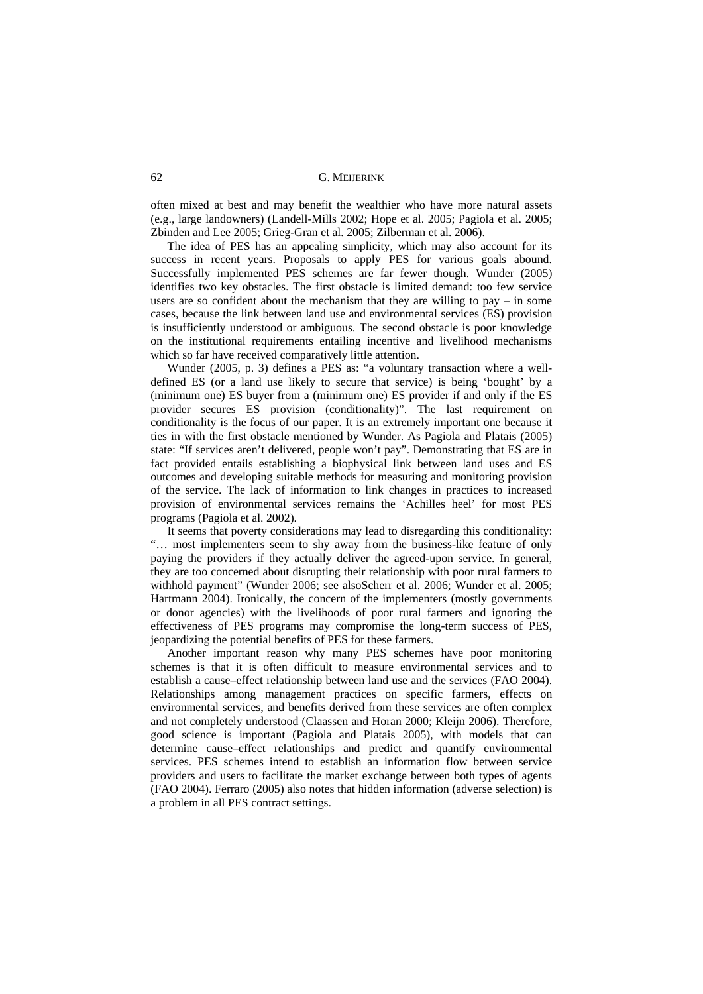often mixed at best and may benefit the wealthier who have more natural assets (e.g., large landowners) (Landell-Mills 2002; Hope et al. 2005; Pagiola et al. 2005; Zbinden and Lee 2005; Grieg-Gran et al. 2005; Zilberman et al. 2006).

The idea of PES has an appealing simplicity, which may also account for its success in recent years. Proposals to apply PES for various goals abound. Successfully implemented PES schemes are far fewer though. Wunder (2005) identifies two key obstacles. The first obstacle is limited demand: too few service users are so confident about the mechanism that they are willing to pay – in some cases, because the link between land use and environmental services (ES) provision is insufficiently understood or ambiguous. The second obstacle is poor knowledge on the institutional requirements entailing incentive and livelihood mechanisms which so far have received comparatively little attention.

Wunder (2005, p. 3) defines a PES as: "a voluntary transaction where a welldefined ES (or a land use likely to secure that service) is being 'bought' by a (minimum one) ES buyer from a (minimum one) ES provider if and only if the ES provider secures ES provision (conditionality)". The last requirement on conditionality is the focus of our paper. It is an extremely important one because it ties in with the first obstacle mentioned by Wunder. As Pagiola and Platais (2005) state: "If services aren't delivered, people won't pay". Demonstrating that ES are in fact provided entails establishing a biophysical link between land uses and ES outcomes and developing suitable methods for measuring and monitoring provision of the service. The lack of information to link changes in practices to increased provision of environmental services remains the 'Achilles heel' for most PES programs (Pagiola et al. 2002).

It seems that poverty considerations may lead to disregarding this conditionality: "… most implementers seem to shy away from the business-like feature of only paying the providers if they actually deliver the agreed-upon service. In general, they are too concerned about disrupting their relationship with poor rural farmers to withhold payment" (Wunder 2006; see alsoScherr et al. 2006; Wunder et al. 2005; Hartmann 2004). Ironically, the concern of the implementers (mostly governments or donor agencies) with the livelihoods of poor rural farmers and ignoring the effectiveness of PES programs may compromise the long-term success of PES, jeopardizing the potential benefits of PES for these farmers.

Another important reason why many PES schemes have poor monitoring schemes is that it is often difficult to measure environmental services and to establish a cause–effect relationship between land use and the services (FAO 2004). Relationships among management practices on specific farmers, effects on environmental services, and benefits derived from these services are often complex and not completely understood (Claassen and Horan 2000; Kleijn 2006). Therefore, good science is important (Pagiola and Platais 2005), with models that can determine cause–effect relationships and predict and quantify environmental services. PES schemes intend to establish an information flow between service providers and users to facilitate the market exchange between both types of agents (FAO 2004). Ferraro (2005) also notes that hidden information (adverse selection) is a problem in all PES contract settings.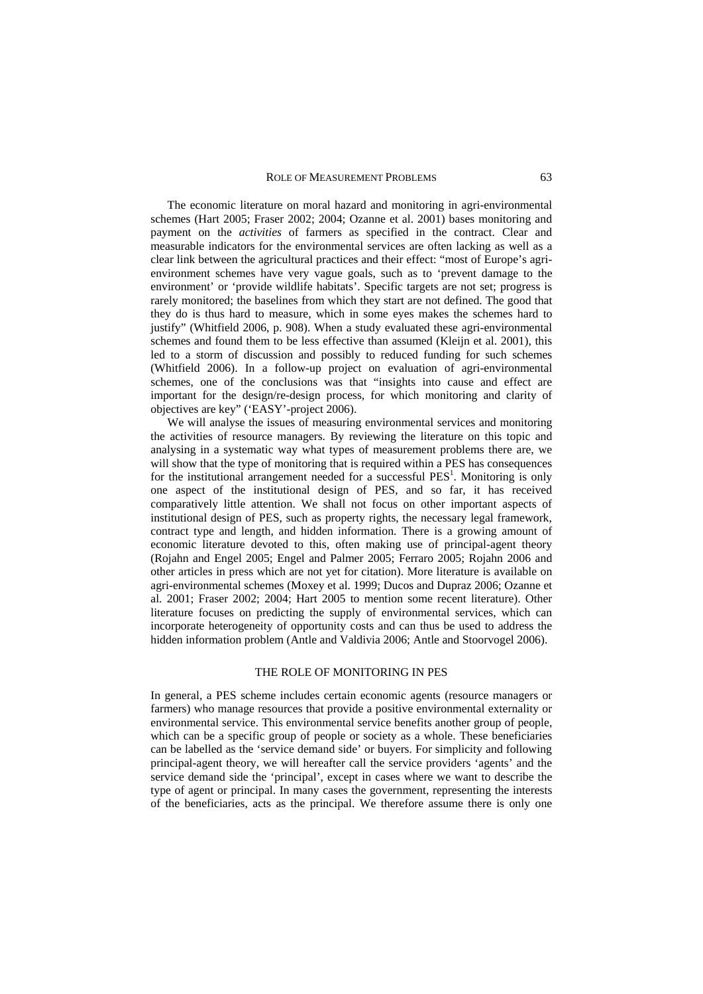#### ROLE OF MEASUREMENT PROBLEMS 63

The economic literature on moral hazard and monitoring in agri-environmental schemes (Hart 2005; Fraser 2002; 2004; Ozanne et al. 2001) bases monitoring and payment on the *activities* of farmers as specified in the contract. Clear and measurable indicators for the environmental services are often lacking as well as a clear link between the agricultural practices and their effect: "most of Europe's agrienvironment schemes have very vague goals, such as to 'prevent damage to the environment' or 'provide wildlife habitats'. Specific targets are not set; progress is rarely monitored; the baselines from which they start are not defined. The good that they do is thus hard to measure, which in some eyes makes the schemes hard to justify" (Whitfield 2006, p. 908). When a study evaluated these agri-environmental schemes and found them to be less effective than assumed (Kleijn et al. 2001), this led to a storm of discussion and possibly to reduced funding for such schemes (Whitfield 2006). In a follow-up project on evaluation of agri-environmental schemes, one of the conclusions was that "insights into cause and effect are important for the design/re-design process, for which monitoring and clarity of objectives are key" ('EASY'-project 2006).

We will analyse the issues of measuring environmental services and monitoring the activities of resource managers. By reviewing the literature on this topic and analysing in a systematic way what types of measurement problems there are, we will show that the type of monitoring that is required within a PES has consequences for the institutional arrangement needed for a successful  $PES<sup>1</sup>$ . Monitoring is only one aspect of the institutional design of PES, and so far, it has received comparatively little attention. We shall not focus on other important aspects of institutional design of PES, such as property rights, the necessary legal framework, contract type and length, and hidden information. There is a growing amount of economic literature devoted to this, often making use of principal-agent theory (Rojahn and Engel 2005; Engel and Palmer 2005; Ferraro 2005; Rojahn 2006 and other articles in press which are not yet for citation). More literature is available on agri-environmental schemes (Moxey et al. 1999; Ducos and Dupraz 2006; Ozanne et al. 2001; Fraser 2002; 2004; Hart 2005 to mention some recent literature). Other literature focuses on predicting the supply of environmental services, which can incorporate heterogeneity of opportunity costs and can thus be used to address the hidden information problem (Antle and Valdivia 2006; Antle and Stoorvogel 2006).

#### THE ROLE OF MONITORING IN PES

In general, a PES scheme includes certain economic agents (resource managers or farmers) who manage resources that provide a positive environmental externality or environmental service. This environmental service benefits another group of people, which can be a specific group of people or society as a whole. These beneficiaries can be labelled as the 'service demand side' or buyers. For simplicity and following principal-agent theory, we will hereafter call the service providers 'agents' and the service demand side the 'principal', except in cases where we want to describe the type of agent or principal. In many cases the government, representing the interests of the beneficiaries, acts as the principal. We therefore assume there is only one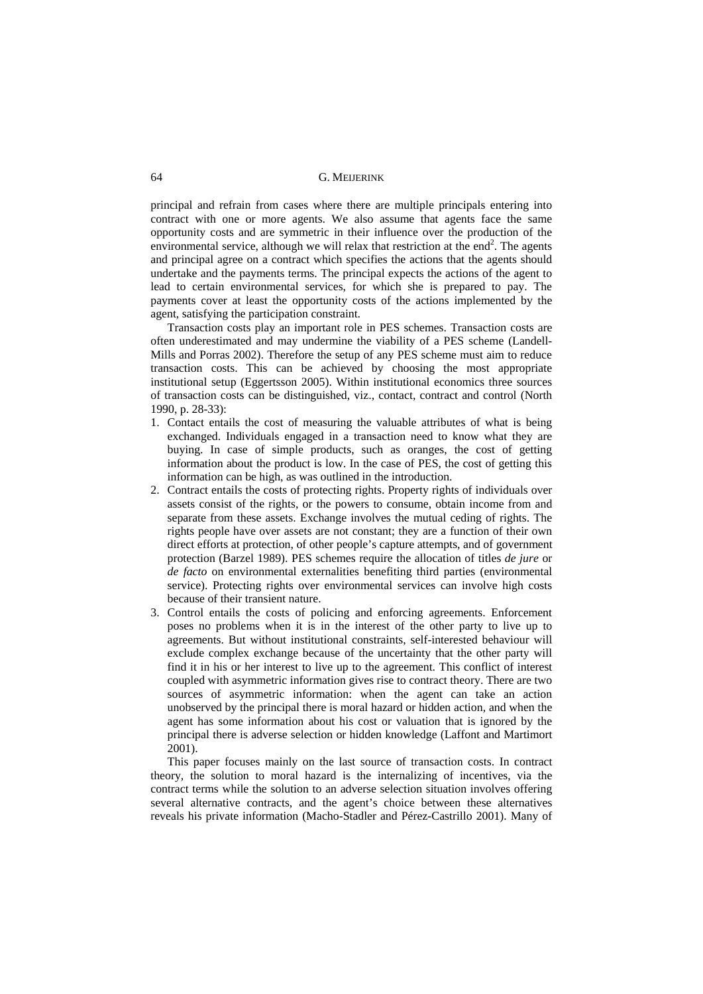principal and refrain from cases where there are multiple principals entering into contract with one or more agents. We also assume that agents face the same opportunity costs and are symmetric in their influence over the production of the environmental service, although we will relax that restriction at the end<sup>2</sup>. The agents and principal agree on a contract which specifies the actions that the agents should undertake and the payments terms. The principal expects the actions of the agent to lead to certain environmental services, for which she is prepared to pay. The payments cover at least the opportunity costs of the actions implemented by the agent, satisfying the participation constraint.

Transaction costs play an important role in PES schemes. Transaction costs are often underestimated and may undermine the viability of a PES scheme (Landell-Mills and Porras 2002). Therefore the setup of any PES scheme must aim to reduce transaction costs. This can be achieved by choosing the most appropriate institutional setup (Eggertsson 2005). Within institutional economics three sources of transaction costs can be distinguished, viz., contact, contract and control (North 1990, p. 28-33):

- 1. Contact entails the cost of measuring the valuable attributes of what is being exchanged. Individuals engaged in a transaction need to know what they are buying. In case of simple products, such as oranges, the cost of getting information about the product is low. In the case of PES, the cost of getting this information can be high, as was outlined in the introduction.
- 2. Contract entails the costs of protecting rights. Property rights of individuals over assets consist of the rights, or the powers to consume, obtain income from and separate from these assets. Exchange involves the mutual ceding of rights. The rights people have over assets are not constant; they are a function of their own direct efforts at protection, of other people's capture attempts, and of government protection (Barzel 1989). PES schemes require the allocation of titles *de jure* or *de facto* on environmental externalities benefiting third parties (environmental service). Protecting rights over environmental services can involve high costs because of their transient nature.
- 3. Control entails the costs of policing and enforcing agreements. Enforcement poses no problems when it is in the interest of the other party to live up to agreements. But without institutional constraints, self-interested behaviour will exclude complex exchange because of the uncertainty that the other party will find it in his or her interest to live up to the agreement. This conflict of interest coupled with asymmetric information gives rise to contract theory. There are two sources of asymmetric information: when the agent can take an action unobserved by the principal there is moral hazard or hidden action, and when the agent has some information about his cost or valuation that is ignored by the principal there is adverse selection or hidden knowledge (Laffont and Martimort 2001).

This paper focuses mainly on the last source of transaction costs. In contract theory, the solution to moral hazard is the internalizing of incentives, via the contract terms while the solution to an adverse selection situation involves offering several alternative contracts, and the agent's choice between these alternatives reveals his private information (Macho-Stadler and Pérez-Castrillo 2001). Many of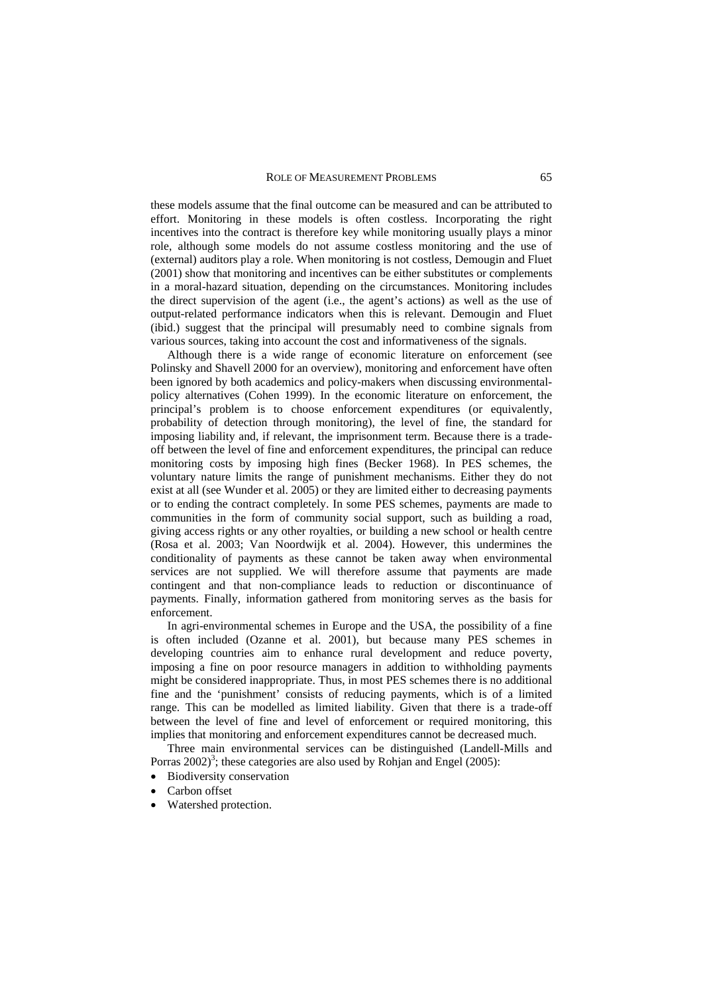these models assume that the final outcome can be measured and can be attributed to effort. Monitoring in these models is often costless. Incorporating the right incentives into the contract is therefore key while monitoring usually plays a minor role, although some models do not assume costless monitoring and the use of (external) auditors play a role. When monitoring is not costless, Demougin and Fluet (2001) show that monitoring and incentives can be either substitutes or complements in a moral-hazard situation, depending on the circumstances. Monitoring includes the direct supervision of the agent (i.e., the agent's actions) as well as the use of output-related performance indicators when this is relevant. Demougin and Fluet (ibid.) suggest that the principal will presumably need to combine signals from various sources, taking into account the cost and informativeness of the signals.

Although there is a wide range of economic literature on enforcement (see Polinsky and Shavell 2000 for an overview), monitoring and enforcement have often been ignored by both academics and policy-makers when discussing environmentalpolicy alternatives (Cohen 1999). In the economic literature on enforcement, the principal's problem is to choose enforcement expenditures (or equivalently, probability of detection through monitoring), the level of fine, the standard for imposing liability and, if relevant, the imprisonment term. Because there is a tradeoff between the level of fine and enforcement expenditures, the principal can reduce monitoring costs by imposing high fines (Becker 1968). In PES schemes, the voluntary nature limits the range of punishment mechanisms. Either they do not exist at all (see Wunder et al. 2005) or they are limited either to decreasing payments or to ending the contract completely. In some PES schemes, payments are made to communities in the form of community social support, such as building a road, giving access rights or any other royalties, or building a new school or health centre (Rosa et al. 2003; Van Noordwijk et al. 2004). However, this undermines the conditionality of payments as these cannot be taken away when environmental services are not supplied. We will therefore assume that payments are made contingent and that non-compliance leads to reduction or discontinuance of payments. Finally, information gathered from monitoring serves as the basis for enforcement.

In agri-environmental schemes in Europe and the USA, the possibility of a fine is often included (Ozanne et al. 2001), but because many PES schemes in developing countries aim to enhance rural development and reduce poverty, imposing a fine on poor resource managers in addition to withholding payments might be considered inappropriate. Thus, in most PES schemes there is no additional fine and the 'punishment' consists of reducing payments, which is of a limited range. This can be modelled as limited liability. Given that there is a trade-off between the level of fine and level of enforcement or required monitoring, this implies that monitoring and enforcement expenditures cannot be decreased much.

Three main environmental services can be distinguished (Landell-Mills and Porras  $2002$ <sup>3</sup>; these categories are also used by Rohjan and Engel (2005):

- Biodiversity conservation
- Carbon offset
- Watershed protection.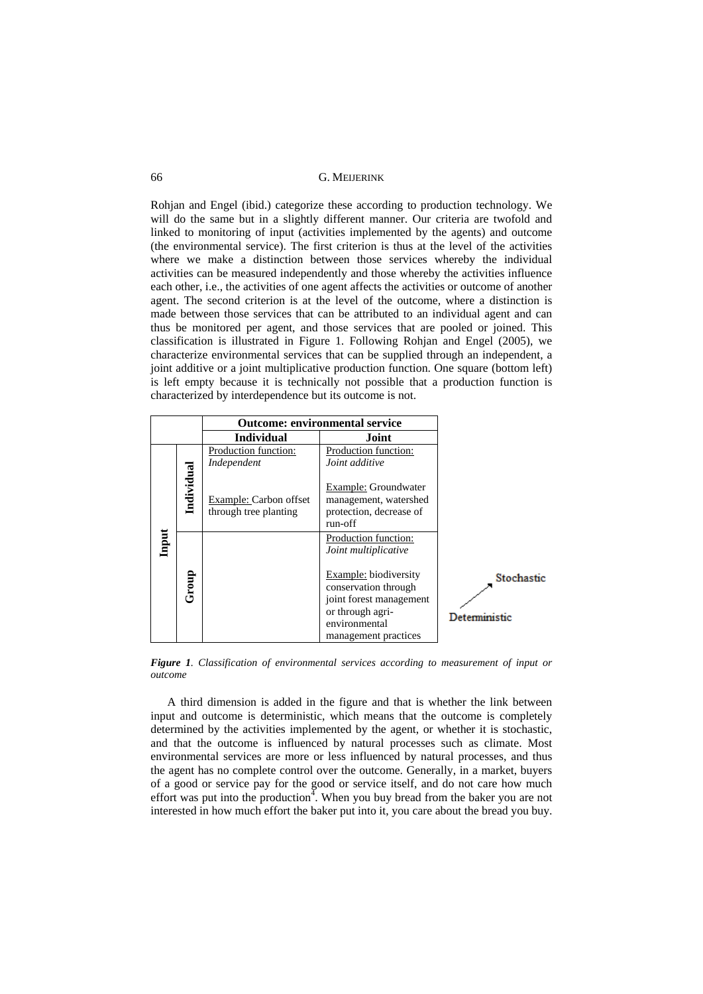Rohjan and Engel (ibid.) categorize these according to production technology. We will do the same but in a slightly different manner. Our criteria are twofold and linked to monitoring of input (activities implemented by the agents) and outcome (the environmental service). The first criterion is thus at the level of the activities where we make a distinction between those services whereby the individual activities can be measured independently and those whereby the activities influence each other, i.e., the activities of one agent affects the activities or outcome of another agent. The second criterion is at the level of the outcome, where a distinction is made between those services that can be attributed to an individual agent and can thus be monitored per agent, and those services that are pooled or joined. This classification is illustrated in Figure 1. Following Rohjan and Engel (2005), we characterize environmental services that can be supplied through an independent, a joint additive or a joint multiplicative production function. One square (bottom left) is left empty because it is technically not possible that a production function is characterized by interdependence but its outcome is not.

|       |            | <b>Outcome: environmental service</b>           |                                                                                                                                       |                             |
|-------|------------|-------------------------------------------------|---------------------------------------------------------------------------------------------------------------------------------------|-----------------------------|
|       |            | <b>Individual</b>                               | Joint                                                                                                                                 |                             |
|       |            | Production function:<br>Independent             | Production function:<br>Joint additive                                                                                                |                             |
| Input | Individual | Example: Carbon offset<br>through tree planting | Example: Groundwater<br>management, watershed<br>protection, decrease of<br>run-off<br>Production function:<br>Joint multiplicative   |                             |
|       | Group      |                                                 | Example: biodiversity<br>conservation through<br>joint forest management<br>or through agri-<br>environmental<br>management practices | Stochastic<br>Deterministic |

*Figure 1. Classification of environmental services according to measurement of input or outcome*

A third dimension is added in the figure and that is whether the link between input and outcome is deterministic, which means that the outcome is completely determined by the activities implemented by the agent, or whether it is stochastic, and that the outcome is influenced by natural processes such as climate. Most environmental services are more or less influenced by natural processes, and thus the agent has no complete control over the outcome. Generally, in a market, buyers of a good or service pay for the good or service itself, and do not care how much effort was put into the production<sup> $\overline{4}$ </sup>. When you buy bread from the baker you are not interested in how much effort the baker put into it, you care about the bread you buy.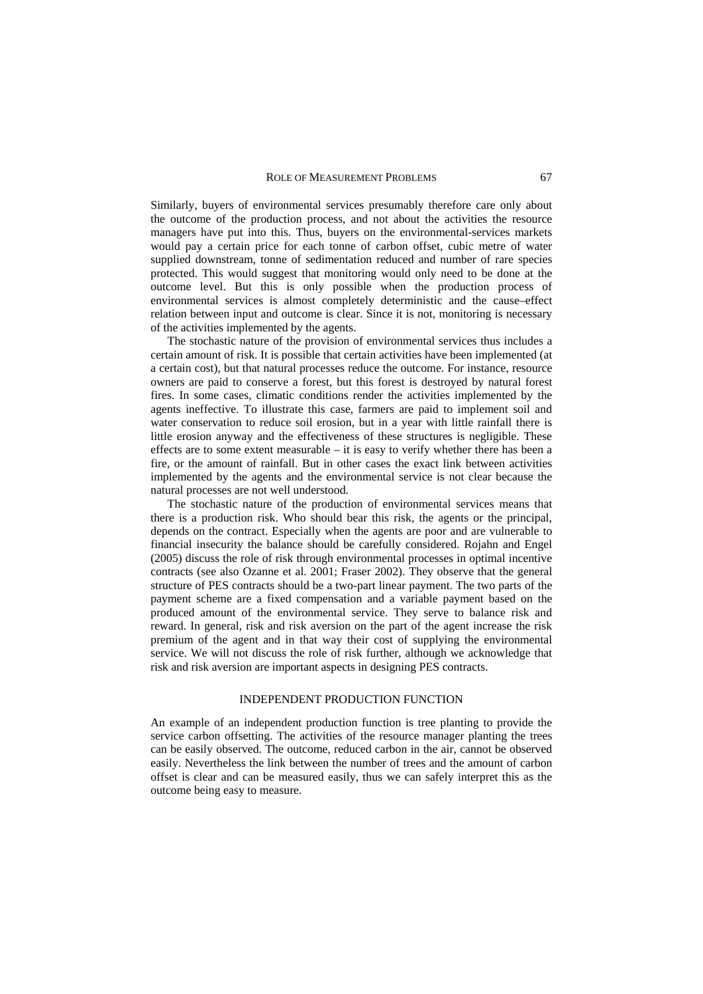Similarly, buyers of environmental services presumably therefore care only about the outcome of the production process, and not about the activities the resource managers have put into this. Thus, buyers on the environmental-services markets would pay a certain price for each tonne of carbon offset, cubic metre of water supplied downstream, tonne of sedimentation reduced and number of rare species protected. This would suggest that monitoring would only need to be done at the outcome level. But this is only possible when the production process of environmental services is almost completely deterministic and the cause–effect relation between input and outcome is clear. Since it is not, monitoring is necessary of the activities implemented by the agents.

The stochastic nature of the provision of environmental services thus includes a certain amount of risk. It is possible that certain activities have been implemented (at a certain cost), but that natural processes reduce the outcome. For instance, resource owners are paid to conserve a forest, but this forest is destroyed by natural forest fires. In some cases, climatic conditions render the activities implemented by the agents ineffective. To illustrate this case, farmers are paid to implement soil and water conservation to reduce soil erosion, but in a year with little rainfall there is little erosion anyway and the effectiveness of these structures is negligible. These effects are to some extent measurable – it is easy to verify whether there has been a fire, or the amount of rainfall. But in other cases the exact link between activities implemented by the agents and the environmental service is not clear because the natural processes are not well understood.

The stochastic nature of the production of environmental services means that there is a production risk. Who should bear this risk, the agents or the principal, depends on the contract. Especially when the agents are poor and are vulnerable to financial insecurity the balance should be carefully considered. Rojahn and Engel (2005) discuss the role of risk through environmental processes in optimal incentive contracts (see also Ozanne et al. 2001; Fraser 2002). They observe that the general structure of PES contracts should be a two-part linear payment. The two parts of the payment scheme are a fixed compensation and a variable payment based on the produced amount of the environmental service. They serve to balance risk and reward. In general, risk and risk aversion on the part of the agent increase the risk premium of the agent and in that way their cost of supplying the environmental service. We will not discuss the role of risk further, although we acknowledge that risk and risk aversion are important aspects in designing PES contracts.

### INDEPENDENT PRODUCTION FUNCTION

An example of an independent production function is tree planting to provide the service carbon offsetting. The activities of the resource manager planting the trees can be easily observed. The outcome, reduced carbon in the air, cannot be observed easily. Nevertheless the link between the number of trees and the amount of carbon offset is clear and can be measured easily, thus we can safely interpret this as the outcome being easy to measure.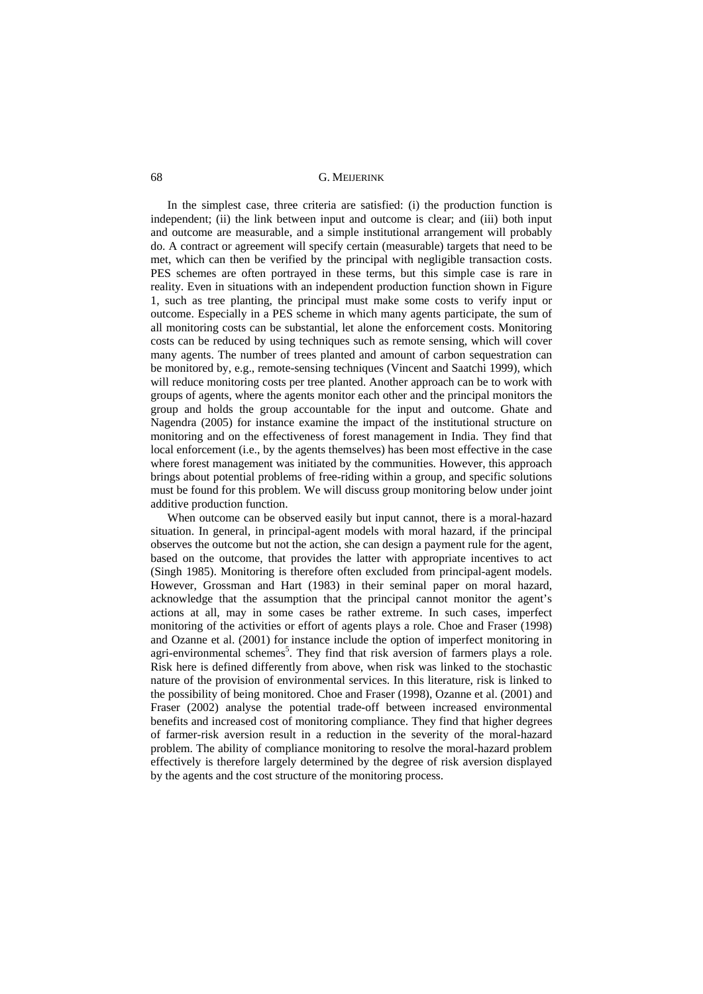In the simplest case, three criteria are satisfied: (i) the production function is independent; (ii) the link between input and outcome is clear; and (iii) both input and outcome are measurable, and a simple institutional arrangement will probably do. A contract or agreement will specify certain (measurable) targets that need to be met, which can then be verified by the principal with negligible transaction costs. PES schemes are often portrayed in these terms, but this simple case is rare in reality. Even in situations with an independent production function shown in Figure 1, such as tree planting, the principal must make some costs to verify input or outcome. Especially in a PES scheme in which many agents participate, the sum of all monitoring costs can be substantial, let alone the enforcement costs. Monitoring costs can be reduced by using techniques such as remote sensing, which will cover many agents. The number of trees planted and amount of carbon sequestration can be monitored by, e.g., remote-sensing techniques (Vincent and Saatchi 1999), which will reduce monitoring costs per tree planted. Another approach can be to work with groups of agents, where the agents monitor each other and the principal monitors the group and holds the group accountable for the input and outcome. Ghate and Nagendra (2005) for instance examine the impact of the institutional structure on monitoring and on the effectiveness of forest management in India. They find that local enforcement (i.e., by the agents themselves) has been most effective in the case where forest management was initiated by the communities. However, this approach brings about potential problems of free-riding within a group, and specific solutions must be found for this problem. We will discuss group monitoring below under joint additive production function.

When outcome can be observed easily but input cannot, there is a moral-hazard situation. In general, in principal-agent models with moral hazard, if the principal observes the outcome but not the action, she can design a payment rule for the agent, based on the outcome, that provides the latter with appropriate incentives to act (Singh 1985). Monitoring is therefore often excluded from principal-agent models. However, Grossman and Hart (1983) in their seminal paper on moral hazard, acknowledge that the assumption that the principal cannot monitor the agent's actions at all, may in some cases be rather extreme. In such cases, imperfect monitoring of the activities or effort of agents plays a role. Choe and Fraser (1998) and Ozanne et al. (2001) for instance include the option of imperfect monitoring in agri-environmental schemes<sup>5</sup>. They find that risk aversion of farmers plays a role. Risk here is defined differently from above, when risk was linked to the stochastic nature of the provision of environmental services. In this literature, risk is linked to the possibility of being monitored. Choe and Fraser (1998), Ozanne et al. (2001) and Fraser (2002) analyse the potential trade-off between increased environmental benefits and increased cost of monitoring compliance. They find that higher degrees of farmer-risk aversion result in a reduction in the severity of the moral-hazard problem. The ability of compliance monitoring to resolve the moral-hazard problem effectively is therefore largely determined by the degree of risk aversion displayed by the agents and the cost structure of the monitoring process.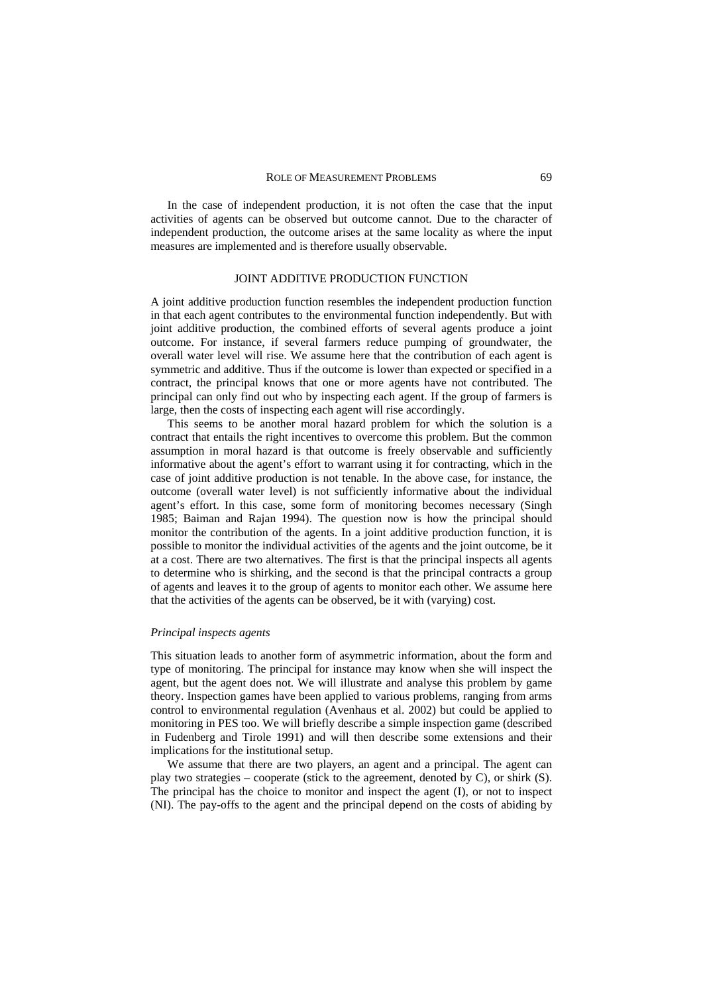In the case of independent production, it is not often the case that the input activities of agents can be observed but outcome cannot. Due to the character of independent production, the outcome arises at the same locality as where the input measures are implemented and is therefore usually observable.

### JOINT ADDITIVE PRODUCTION FUNCTION

A joint additive production function resembles the independent production function in that each agent contributes to the environmental function independently. But with joint additive production, the combined efforts of several agents produce a joint outcome. For instance, if several farmers reduce pumping of groundwater, the overall water level will rise. We assume here that the contribution of each agent is symmetric and additive. Thus if the outcome is lower than expected or specified in a contract, the principal knows that one or more agents have not contributed. The principal can only find out who by inspecting each agent. If the group of farmers is large, then the costs of inspecting each agent will rise accordingly.

This seems to be another moral hazard problem for which the solution is a contract that entails the right incentives to overcome this problem. But the common assumption in moral hazard is that outcome is freely observable and sufficiently informative about the agent's effort to warrant using it for contracting, which in the case of joint additive production is not tenable. In the above case, for instance, the outcome (overall water level) is not sufficiently informative about the individual agent's effort. In this case, some form of monitoring becomes necessary (Singh 1985; Baiman and Rajan 1994). The question now is how the principal should monitor the contribution of the agents. In a joint additive production function, it is possible to monitor the individual activities of the agents and the joint outcome, be it at a cost. There are two alternatives. The first is that the principal inspects all agents to determine who is shirking, and the second is that the principal contracts a group of agents and leaves it to the group of agents to monitor each other. We assume here that the activities of the agents can be observed, be it with (varying) cost.

#### *Principal inspects agents*

This situation leads to another form of asymmetric information, about the form and type of monitoring. The principal for instance may know when she will inspect the agent, but the agent does not. We will illustrate and analyse this problem by game theory. Inspection games have been applied to various problems, ranging from arms control to environmental regulation (Avenhaus et al. 2002) but could be applied to monitoring in PES too. We will briefly describe a simple inspection game (described in Fudenberg and Tirole 1991) and will then describe some extensions and their implications for the institutional setup.

We assume that there are two players, an agent and a principal. The agent can play two strategies – cooperate (stick to the agreement, denoted by  $C$ ), or shirk  $(S)$ . The principal has the choice to monitor and inspect the agent (I), or not to inspect (NI). The pay-offs to the agent and the principal depend on the costs of abiding by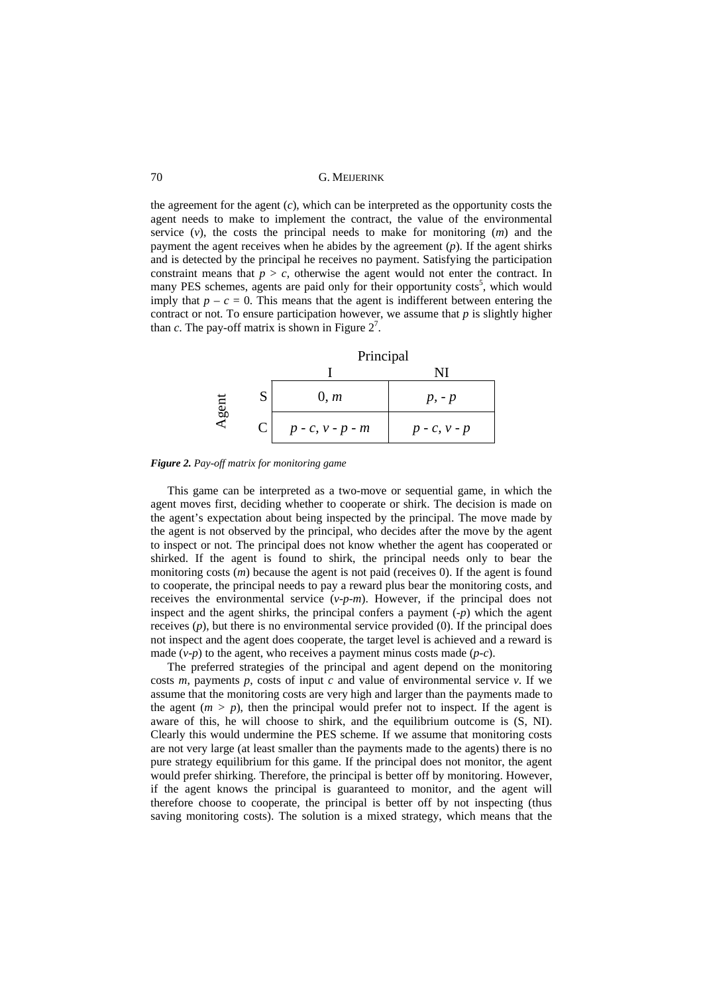the agreement for the agent (*c*), which can be interpreted as the opportunity costs the agent needs to make to implement the contract, the value of the environmental service (*v*), the costs the principal needs to make for monitoring (*m*) and the payment the agent receives when he abides by the agreement (*p*). If the agent shirks and is detected by the principal he receives no payment. Satisfying the participation constraint means that  $p > c$ , otherwise the agent would not enter the contract. In many PES schemes, agents are paid only for their opportunity costs<sup>5</sup>, which would imply that  $p - c = 0$ . This means that the agent is indifferent between entering the contract or not. To ensure participation however, we assume that  $p$  is slightly higher than  $c$ . The pay-off matrix is shown in Figure  $2^7$ .

|                | Principal          |                |  |
|----------------|--------------------|----------------|--|
|                |                    |                |  |
| $\lambda$ gent | 0, m               | $p, -p$        |  |
|                | $p - c, v - p - m$ | $p - c, v - p$ |  |

*Figure 2. Pay-off matrix for monitoring game* 

This game can be interpreted as a two-move or sequential game, in which the agent moves first, deciding whether to cooperate or shirk. The decision is made on the agent's expectation about being inspected by the principal. The move made by the agent is not observed by the principal, who decides after the move by the agent to inspect or not. The principal does not know whether the agent has cooperated or shirked. If the agent is found to shirk, the principal needs only to bear the monitoring costs (*m*) because the agent is not paid (receives 0). If the agent is found to cooperate, the principal needs to pay a reward plus bear the monitoring costs, and receives the environmental service  $(v-p-m)$ . However, if the principal does not inspect and the agent shirks, the principal confers a payment (-*p*) which the agent receives  $(p)$ , but there is no environmental service provided  $(0)$ . If the principal does not inspect and the agent does cooperate, the target level is achieved and a reward is made  $(v-p)$  to the agent, who receives a payment minus costs made  $(p-c)$ .

The preferred strategies of the principal and agent depend on the monitoring costs *m*, payments *p*, costs of input *c* and value of environmental service *v*. If we assume that the monitoring costs are very high and larger than the payments made to the agent  $(m > p)$ , then the principal would prefer not to inspect. If the agent is aware of this, he will choose to shirk, and the equilibrium outcome is (S, NI). Clearly this would undermine the PES scheme. If we assume that monitoring costs are not very large (at least smaller than the payments made to the agents) there is no pure strategy equilibrium for this game. If the principal does not monitor, the agent would prefer shirking. Therefore, the principal is better off by monitoring. However, if the agent knows the principal is guaranteed to monitor, and the agent will therefore choose to cooperate, the principal is better off by not inspecting (thus saving monitoring costs). The solution is a mixed strategy, which means that the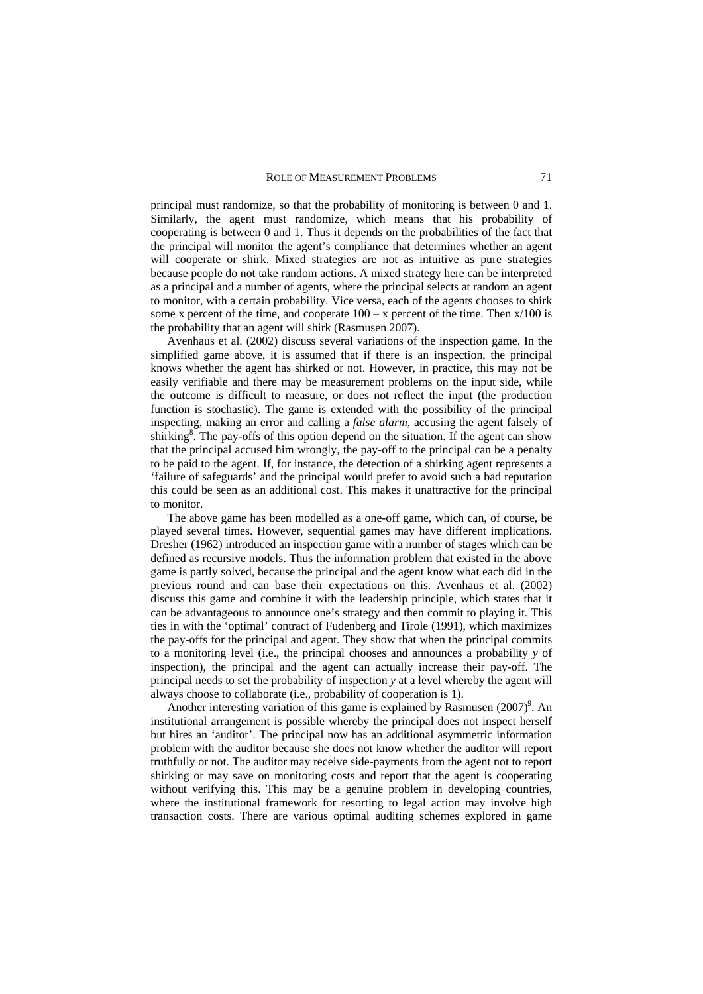principal must randomize, so that the probability of monitoring is between 0 and 1. Similarly, the agent must randomize, which means that his probability of cooperating is between 0 and 1. Thus it depends on the probabilities of the fact that the principal will monitor the agent's compliance that determines whether an agent will cooperate or shirk. Mixed strategies are not as intuitive as pure strategies because people do not take random actions. A mixed strategy here can be interpreted as a principal and a number of agents, where the principal selects at random an agent to monitor, with a certain probability. Vice versa, each of the agents chooses to shirk some x percent of the time, and cooperate  $100 - x$  percent of the time. Then  $x/100$  is the probability that an agent will shirk (Rasmusen 2007).

Avenhaus et al. (2002) discuss several variations of the inspection game. In the simplified game above, it is assumed that if there is an inspection, the principal knows whether the agent has shirked or not. However, in practice, this may not be easily verifiable and there may be measurement problems on the input side, while the outcome is difficult to measure, or does not reflect the input (the production function is stochastic). The game is extended with the possibility of the principal inspecting, making an error and calling a *false alarm*, accusing the agent falsely of shirking $8$ . The pay-offs of this option depend on the situation. If the agent can show that the principal accused him wrongly, the pay-off to the principal can be a penalty to be paid to the agent. If, for instance, the detection of a shirking agent represents a 'failure of safeguards' and the principal would prefer to avoid such a bad reputation this could be seen as an additional cost. This makes it unattractive for the principal to monitor.

The above game has been modelled as a one-off game, which can, of course, be played several times. However, sequential games may have different implications. Dresher (1962) introduced an inspection game with a number of stages which can be defined as recursive models. Thus the information problem that existed in the above game is partly solved, because the principal and the agent know what each did in the previous round and can base their expectations on this. Avenhaus et al. (2002) discuss this game and combine it with the leadership principle, which states that it can be advantageous to announce one's strategy and then commit to playing it. This ties in with the 'optimal' contract of Fudenberg and Tirole (1991), which maximizes the pay-offs for the principal and agent. They show that when the principal commits to a monitoring level (i.e., the principal chooses and announces a probability *y* of inspection), the principal and the agent can actually increase their pay-off. The principal needs to set the probability of inspection *y* at a level whereby the agent will always choose to collaborate (i.e., probability of cooperation is 1).

Another interesting variation of this game is explained by Rasmusen  $(2007)^9$ . An institutional arrangement is possible whereby the principal does not inspect herself but hires an 'auditor'. The principal now has an additional asymmetric information problem with the auditor because she does not know whether the auditor will report truthfully or not. The auditor may receive side-payments from the agent not to report shirking or may save on monitoring costs and report that the agent is cooperating without verifying this. This may be a genuine problem in developing countries, where the institutional framework for resorting to legal action may involve high transaction costs. There are various optimal auditing schemes explored in game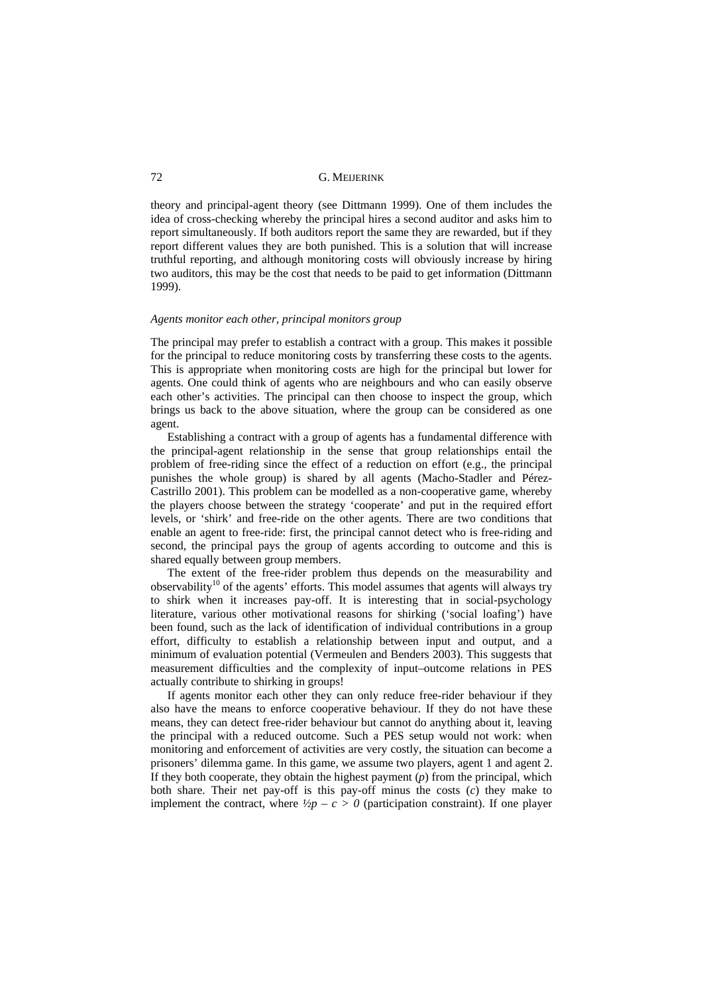theory and principal-agent theory (see Dittmann 1999). One of them includes the idea of cross-checking whereby the principal hires a second auditor and asks him to report simultaneously. If both auditors report the same they are rewarded, but if they report different values they are both punished. This is a solution that will increase truthful reporting, and although monitoring costs will obviously increase by hiring two auditors, this may be the cost that needs to be paid to get information (Dittmann 1999).

#### *Agents monitor each other, principal monitors group*

The principal may prefer to establish a contract with a group. This makes it possible for the principal to reduce monitoring costs by transferring these costs to the agents. This is appropriate when monitoring costs are high for the principal but lower for agents. One could think of agents who are neighbours and who can easily observe each other's activities. The principal can then choose to inspect the group, which brings us back to the above situation, where the group can be considered as one agent.

Establishing a contract with a group of agents has a fundamental difference with the principal-agent relationship in the sense that group relationships entail the problem of free-riding since the effect of a reduction on effort (e.g., the principal punishes the whole group) is shared by all agents (Macho-Stadler and Pérez-Castrillo 2001). This problem can be modelled as a non-cooperative game, whereby the players choose between the strategy 'cooperate' and put in the required effort levels, or 'shirk' and free-ride on the other agents. There are two conditions that enable an agent to free-ride: first, the principal cannot detect who is free-riding and second, the principal pays the group of agents according to outcome and this is shared equally between group members.

The extent of the free-rider problem thus depends on the measurability and observability<sup>10</sup> of the agents' efforts. This model assumes that agents will always try to shirk when it increases pay-off. It is interesting that in social-psychology literature, various other motivational reasons for shirking ('social loafing') have been found, such as the lack of identification of individual contributions in a group effort, difficulty to establish a relationship between input and output, and a minimum of evaluation potential (Vermeulen and Benders 2003). This suggests that measurement difficulties and the complexity of input–outcome relations in PES actually contribute to shirking in groups!

If agents monitor each other they can only reduce free-rider behaviour if they also have the means to enforce cooperative behaviour. If they do not have these means, they can detect free-rider behaviour but cannot do anything about it, leaving the principal with a reduced outcome. Such a PES setup would not work: when monitoring and enforcement of activities are very costly, the situation can become a prisoners' dilemma game. In this game, we assume two players, agent 1 and agent 2. If they both cooperate, they obtain the highest payment  $(p)$  from the principal, which both share. Their net pay-off is this pay-off minus the costs (*c*) they make to implement the contract, where  $\frac{1}{2}p - c > 0$  (participation constraint). If one player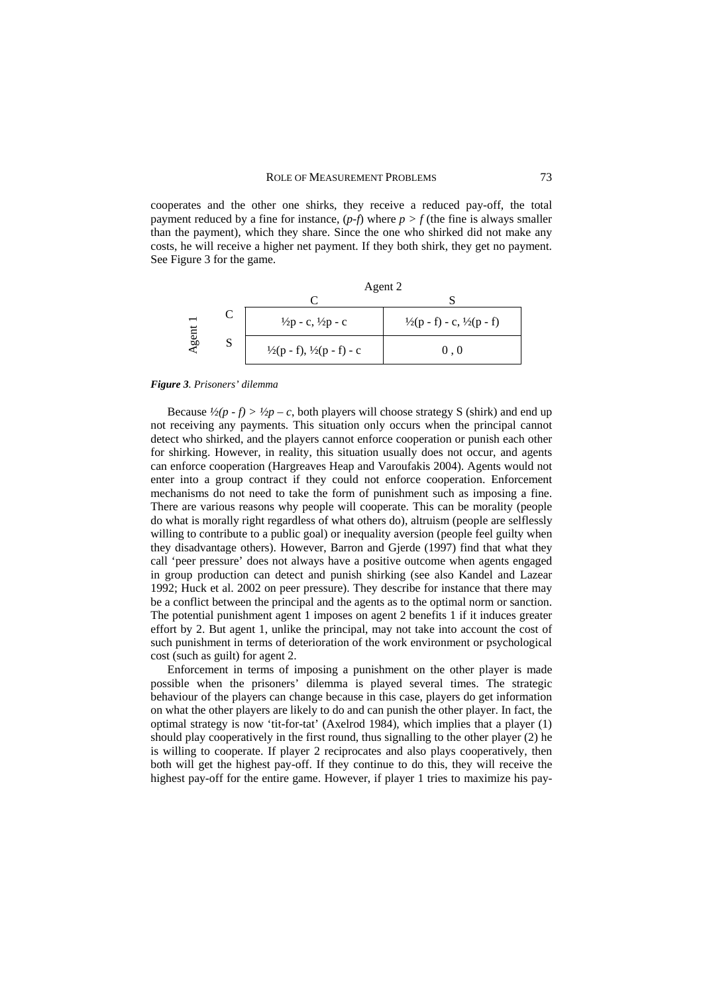cooperates and the other one shirks, they receive a reduced pay-off, the total payment reduced by a fine for instance,  $(p-f)$  where  $p > f$  (the fine is always smaller than the payment), which they share. Since the one who shirked did not make any costs, he will receive a higher net payment. If they both shirk, they get no payment. See Figure 3 for the game.

|         |   | Agent 2                                      |                                                 |  |
|---------|---|----------------------------------------------|-------------------------------------------------|--|
|         |   |                                              |                                                 |  |
| rg<br>G |   | $\frac{1}{2}p - c$ , $\frac{1}{2}p - c$      | $\frac{1}{2}(p - f) - c$ , $\frac{1}{2}(p - f)$ |  |
|         | S | $\frac{1}{2}(p - f), \frac{1}{2}(p - f) - c$ | 0.0                                             |  |

#### *Figure 3. Prisoners' dilemma*

Because  $\frac{1}{2}(p - f) > \frac{1}{2}p - c$ , both players will choose strategy S (shirk) and end up not receiving any payments. This situation only occurs when the principal cannot detect who shirked, and the players cannot enforce cooperation or punish each other for shirking. However, in reality, this situation usually does not occur, and agents can enforce cooperation (Hargreaves Heap and Varoufakis 2004). Agents would not enter into a group contract if they could not enforce cooperation. Enforcement mechanisms do not need to take the form of punishment such as imposing a fine. There are various reasons why people will cooperate. This can be morality (people do what is morally right regardless of what others do), altruism (people are selflessly willing to contribute to a public goal) or inequality aversion (people feel guilty when they disadvantage others). However, Barron and Gjerde (1997) find that what they call 'peer pressure' does not always have a positive outcome when agents engaged in group production can detect and punish shirking (see also Kandel and Lazear 1992; Huck et al. 2002 on peer pressure). They describe for instance that there may be a conflict between the principal and the agents as to the optimal norm or sanction. The potential punishment agent 1 imposes on agent 2 benefits 1 if it induces greater effort by 2. But agent 1, unlike the principal, may not take into account the cost of such punishment in terms of deterioration of the work environment or psychological cost (such as guilt) for agent 2.

Enforcement in terms of imposing a punishment on the other player is made possible when the prisoners' dilemma is played several times. The strategic behaviour of the players can change because in this case, players do get information on what the other players are likely to do and can punish the other player. In fact, the optimal strategy is now 'tit-for-tat' (Axelrod 1984), which implies that a player (1) should play cooperatively in the first round, thus signalling to the other player (2) he is willing to cooperate. If player 2 reciprocates and also plays cooperatively, then both will get the highest pay-off. If they continue to do this, they will receive the highest pay-off for the entire game. However, if player 1 tries to maximize his pay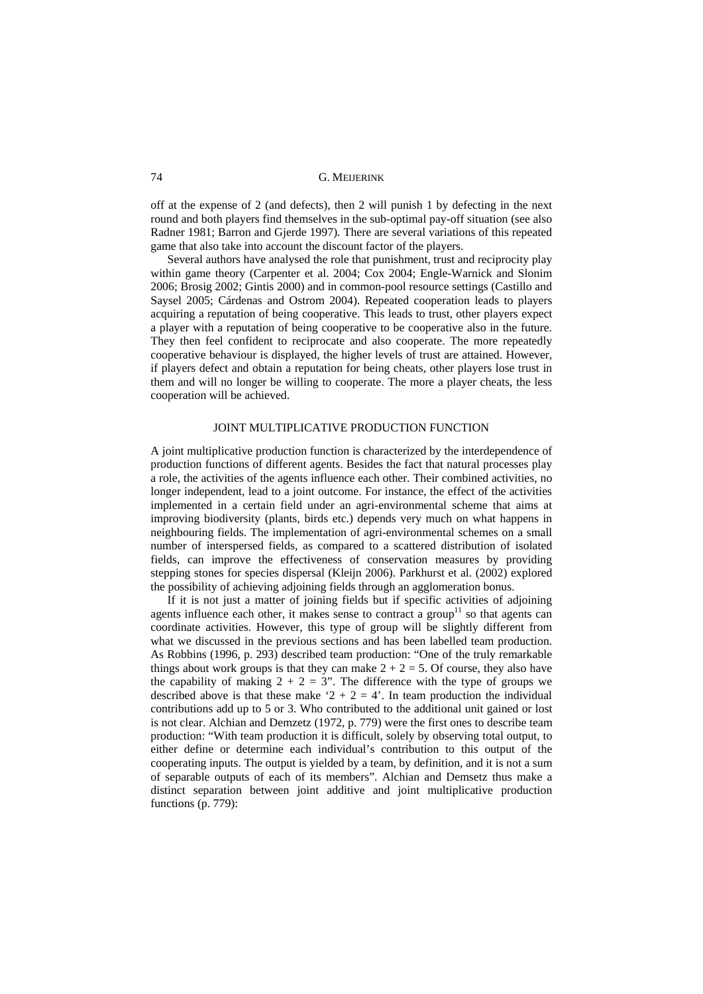off at the expense of 2 (and defects), then 2 will punish 1 by defecting in the next round and both players find themselves in the sub-optimal pay-off situation (see also Radner 1981; Barron and Gjerde 1997). There are several variations of this repeated game that also take into account the discount factor of the players.

Several authors have analysed the role that punishment, trust and reciprocity play within game theory (Carpenter et al. 2004; Cox 2004; Engle-Warnick and Slonim 2006; Brosig 2002; Gintis 2000) and in common-pool resource settings (Castillo and Saysel 2005; Cárdenas and Ostrom 2004). Repeated cooperation leads to players acquiring a reputation of being cooperative. This leads to trust, other players expect a player with a reputation of being cooperative to be cooperative also in the future. They then feel confident to reciprocate and also cooperate. The more repeatedly cooperative behaviour is displayed, the higher levels of trust are attained. However, if players defect and obtain a reputation for being cheats, other players lose trust in them and will no longer be willing to cooperate. The more a player cheats, the less cooperation will be achieved.

## JOINT MULTIPLICATIVE PRODUCTION FUNCTION

A joint multiplicative production function is characterized by the interdependence of production functions of different agents. Besides the fact that natural processes play a role, the activities of the agents influence each other. Their combined activities, no longer independent, lead to a joint outcome. For instance, the effect of the activities implemented in a certain field under an agri-environmental scheme that aims at improving biodiversity (plants, birds etc.) depends very much on what happens in neighbouring fields. The implementation of agri-environmental schemes on a small number of interspersed fields, as compared to a scattered distribution of isolated fields, can improve the effectiveness of conservation measures by providing stepping stones for species dispersal (Kleijn 2006). Parkhurst et al. (2002) explored the possibility of achieving adjoining fields through an agglomeration bonus.

If it is not just a matter of joining fields but if specific activities of adjoining agents influence each other, it makes sense to contract a group<sup>11</sup> so that agents can coordinate activities. However, this type of group will be slightly different from what we discussed in the previous sections and has been labelled team production. As Robbins (1996, p. 293) described team production: "One of the truly remarkable things about work groups is that they can make  $2 + 2 = 5$ . Of course, they also have the capability of making  $2 + 2 = 3$ ". The difference with the type of groups we described above is that these make '2 + 2 = 4'. In team production the individual contributions add up to 5 or 3. Who contributed to the additional unit gained or lost is not clear. Alchian and Demzetz (1972, p. 779) were the first ones to describe team production: "With team production it is difficult, solely by observing total output, to either define or determine each individual's contribution to this output of the cooperating inputs. The output is yielded by a team, by definition, and it is not a sum of separable outputs of each of its members". Alchian and Demsetz thus make a distinct separation between joint additive and joint multiplicative production functions (p. 779):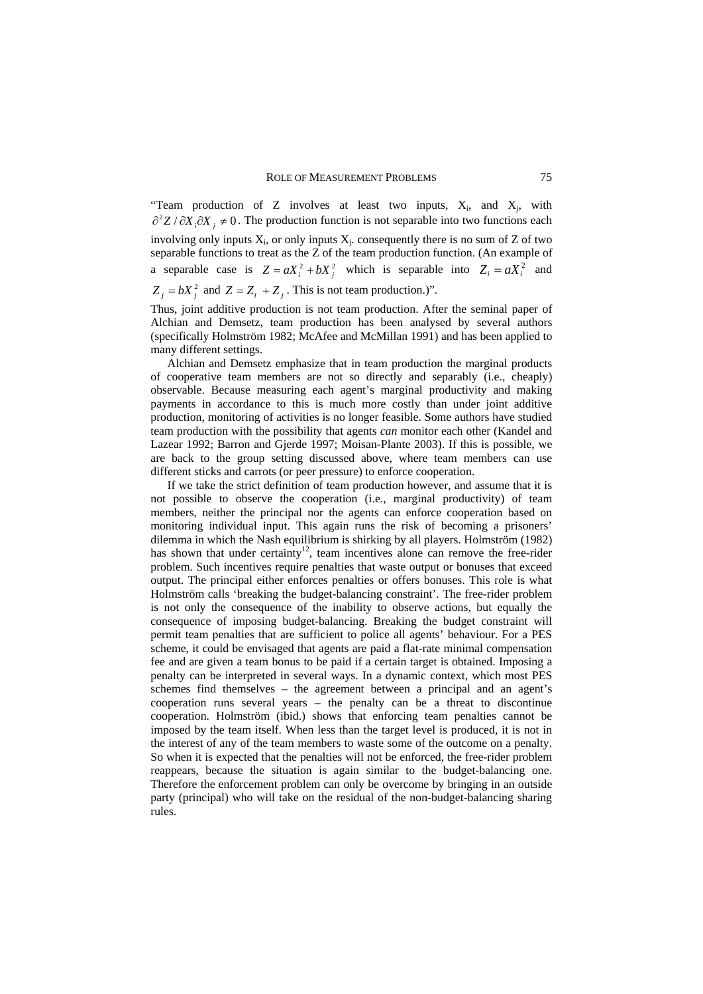"Team production of Z involves at least two inputs,  $X_i$ , and  $X_i$ , with  $\partial^2 Z / \partial X_i \partial X_j \neq 0$ . The production function is not separable into two functions each involving only inputs  $X_i$ , or only inputs  $X_j$ . consequently there is no sum of Z of two separable functions to treat as the Z of the team production function. (An example of a separable case is  $Z = aX_i^2 + bX_j^2$  which is separable into  $Z_i = aX_i^2$  and  $Z_i = bX_i^2$  and  $Z = Z_i + Z_j$ . This is not team production.)".

Thus, joint additive production is not team production. After the seminal paper of Alchian and Demsetz, team production has been analysed by several authors (specifically Holmström 1982; McAfee and McMillan 1991) and has been applied to many different settings.

Alchian and Demsetz emphasize that in team production the marginal products of cooperative team members are not so directly and separably (i.e., cheaply) observable. Because measuring each agent's marginal productivity and making payments in accordance to this is much more costly than under joint additive production, monitoring of activities is no longer feasible. Some authors have studied team production with the possibility that agents *can* monitor each other (Kandel and Lazear 1992; Barron and Gjerde 1997; Moisan-Plante 2003). If this is possible, we are back to the group setting discussed above, where team members can use different sticks and carrots (or peer pressure) to enforce cooperation.

If we take the strict definition of team production however, and assume that it is not possible to observe the cooperation (i.e., marginal productivity) of team members, neither the principal nor the agents can enforce cooperation based on monitoring individual input. This again runs the risk of becoming a prisoners' dilemma in which the Nash equilibrium is shirking by all players. Holmström (1982) has shown that under certainty<sup>12</sup>, team incentives alone can remove the free-rider problem. Such incentives require penalties that waste output or bonuses that exceed output. The principal either enforces penalties or offers bonuses. This role is what Holmström calls 'breaking the budget-balancing constraint'. The free-rider problem is not only the consequence of the inability to observe actions, but equally the consequence of imposing budget-balancing. Breaking the budget constraint will permit team penalties that are sufficient to police all agents' behaviour. For a PES scheme, it could be envisaged that agents are paid a flat-rate minimal compensation fee and are given a team bonus to be paid if a certain target is obtained. Imposing a penalty can be interpreted in several ways. In a dynamic context, which most PES schemes find themselves – the agreement between a principal and an agent's cooperation runs several years – the penalty can be a threat to discontinue cooperation. Holmström (ibid.) shows that enforcing team penalties cannot be imposed by the team itself. When less than the target level is produced, it is not in the interest of any of the team members to waste some of the outcome on a penalty. So when it is expected that the penalties will not be enforced, the free-rider problem reappears, because the situation is again similar to the budget-balancing one. Therefore the enforcement problem can only be overcome by bringing in an outside party (principal) who will take on the residual of the non-budget-balancing sharing rules.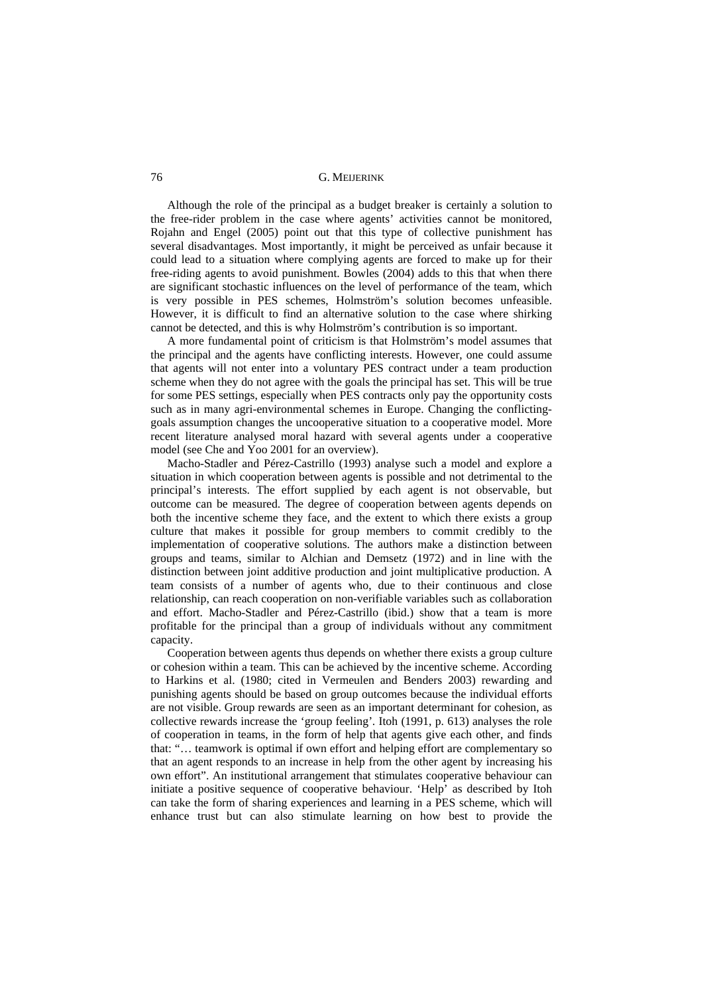Although the role of the principal as a budget breaker is certainly a solution to the free-rider problem in the case where agents' activities cannot be monitored, Rojahn and Engel (2005) point out that this type of collective punishment has several disadvantages. Most importantly, it might be perceived as unfair because it could lead to a situation where complying agents are forced to make up for their free-riding agents to avoid punishment. Bowles (2004) adds to this that when there are significant stochastic influences on the level of performance of the team, which is very possible in PES schemes, Holmström's solution becomes unfeasible. However, it is difficult to find an alternative solution to the case where shirking cannot be detected, and this is why Holmström's contribution is so important.

A more fundamental point of criticism is that Holmström's model assumes that the principal and the agents have conflicting interests. However, one could assume that agents will not enter into a voluntary PES contract under a team production scheme when they do not agree with the goals the principal has set. This will be true for some PES settings, especially when PES contracts only pay the opportunity costs such as in many agri-environmental schemes in Europe. Changing the conflictinggoals assumption changes the uncooperative situation to a cooperative model. More recent literature analysed moral hazard with several agents under a cooperative model (see Che and Yoo 2001 for an overview).

Macho-Stadler and Pérez-Castrillo (1993) analyse such a model and explore a situation in which cooperation between agents is possible and not detrimental to the principal's interests. The effort supplied by each agent is not observable, but outcome can be measured. The degree of cooperation between agents depends on both the incentive scheme they face, and the extent to which there exists a group culture that makes it possible for group members to commit credibly to the implementation of cooperative solutions. The authors make a distinction between groups and teams, similar to Alchian and Demsetz (1972) and in line with the distinction between joint additive production and joint multiplicative production. A team consists of a number of agents who, due to their continuous and close relationship, can reach cooperation on non-verifiable variables such as collaboration and effort. Macho-Stadler and Pérez-Castrillo (ibid.) show that a team is more profitable for the principal than a group of individuals without any commitment capacity.

Cooperation between agents thus depends on whether there exists a group culture or cohesion within a team. This can be achieved by the incentive scheme. According to Harkins et al. (1980; cited in Vermeulen and Benders 2003) rewarding and punishing agents should be based on group outcomes because the individual efforts are not visible. Group rewards are seen as an important determinant for cohesion, as collective rewards increase the 'group feeling'. Itoh (1991, p. 613) analyses the role of cooperation in teams, in the form of help that agents give each other, and finds that: "… teamwork is optimal if own effort and helping effort are complementary so that an agent responds to an increase in help from the other agent by increasing his own effort". An institutional arrangement that stimulates cooperative behaviour can initiate a positive sequence of cooperative behaviour. 'Help' as described by Itoh can take the form of sharing experiences and learning in a PES scheme, which will enhance trust but can also stimulate learning on how best to provide the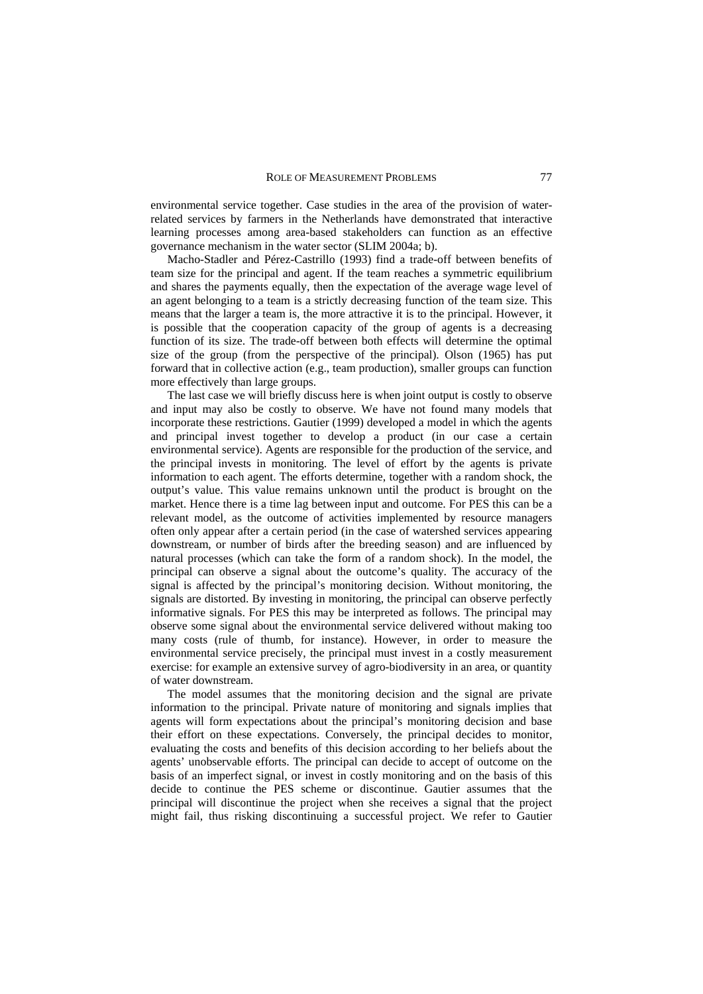environmental service together. Case studies in the area of the provision of waterrelated services by farmers in the Netherlands have demonstrated that interactive learning processes among area-based stakeholders can function as an effective governance mechanism in the water sector (SLIM 2004a; b).

Macho-Stadler and Pérez-Castrillo (1993) find a trade-off between benefits of team size for the principal and agent. If the team reaches a symmetric equilibrium and shares the payments equally, then the expectation of the average wage level of an agent belonging to a team is a strictly decreasing function of the team size. This means that the larger a team is, the more attractive it is to the principal. However, it is possible that the cooperation capacity of the group of agents is a decreasing function of its size. The trade-off between both effects will determine the optimal size of the group (from the perspective of the principal). Olson (1965) has put forward that in collective action (e.g., team production), smaller groups can function more effectively than large groups.

The last case we will briefly discuss here is when joint output is costly to observe and input may also be costly to observe. We have not found many models that incorporate these restrictions. Gautier (1999) developed a model in which the agents and principal invest together to develop a product (in our case a certain environmental service). Agents are responsible for the production of the service, and the principal invests in monitoring. The level of effort by the agents is private information to each agent. The efforts determine, together with a random shock, the output's value. This value remains unknown until the product is brought on the market. Hence there is a time lag between input and outcome. For PES this can be a relevant model, as the outcome of activities implemented by resource managers often only appear after a certain period (in the case of watershed services appearing downstream, or number of birds after the breeding season) and are influenced by natural processes (which can take the form of a random shock). In the model, the principal can observe a signal about the outcome's quality. The accuracy of the signal is affected by the principal's monitoring decision. Without monitoring, the signals are distorted. By investing in monitoring, the principal can observe perfectly informative signals. For PES this may be interpreted as follows. The principal may observe some signal about the environmental service delivered without making too many costs (rule of thumb, for instance). However, in order to measure the environmental service precisely, the principal must invest in a costly measurement exercise: for example an extensive survey of agro-biodiversity in an area, or quantity of water downstream.

The model assumes that the monitoring decision and the signal are private information to the principal. Private nature of monitoring and signals implies that agents will form expectations about the principal's monitoring decision and base their effort on these expectations. Conversely, the principal decides to monitor, evaluating the costs and benefits of this decision according to her beliefs about the agents' unobservable efforts. The principal can decide to accept of outcome on the basis of an imperfect signal, or invest in costly monitoring and on the basis of this decide to continue the PES scheme or discontinue. Gautier assumes that the principal will discontinue the project when she receives a signal that the project might fail, thus risking discontinuing a successful project. We refer to Gautier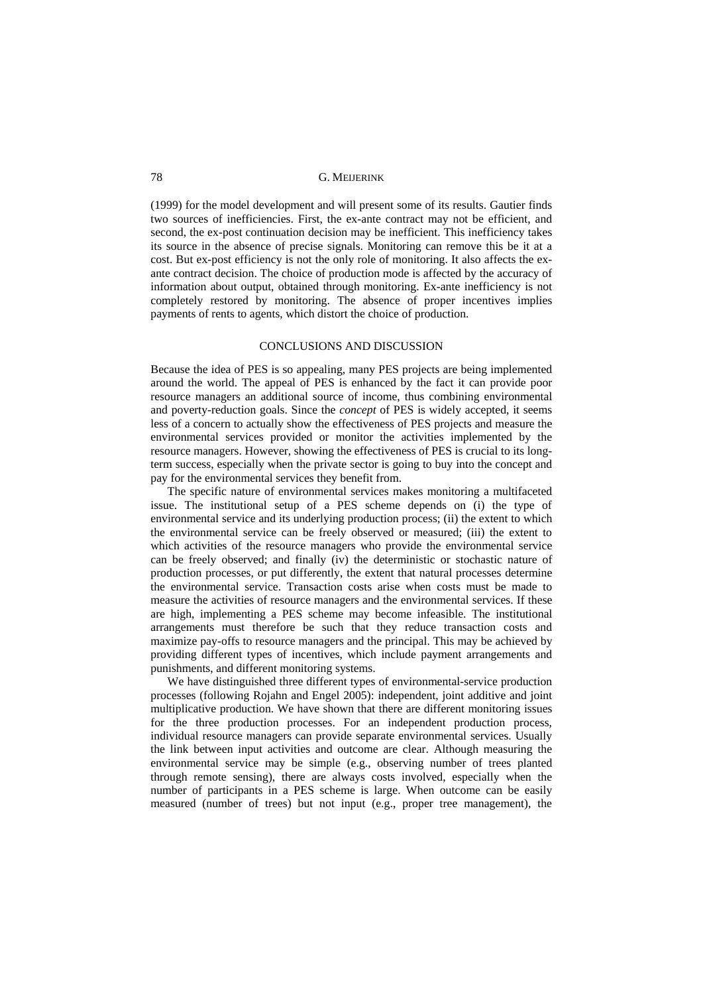(1999) for the model development and will present some of its results. Gautier finds two sources of inefficiencies. First, the ex-ante contract may not be efficient, and second, the ex-post continuation decision may be inefficient. This inefficiency takes its source in the absence of precise signals. Monitoring can remove this be it at a cost. But ex-post efficiency is not the only role of monitoring. It also affects the exante contract decision. The choice of production mode is affected by the accuracy of information about output, obtained through monitoring. Ex-ante inefficiency is not completely restored by monitoring. The absence of proper incentives implies payments of rents to agents, which distort the choice of production.

### CONCLUSIONS AND DISCUSSION

Because the idea of PES is so appealing, many PES projects are being implemented around the world. The appeal of PES is enhanced by the fact it can provide poor resource managers an additional source of income, thus combining environmental and poverty-reduction goals. Since the *concept* of PES is widely accepted, it seems less of a concern to actually show the effectiveness of PES projects and measure the environmental services provided or monitor the activities implemented by the resource managers. However, showing the effectiveness of PES is crucial to its longterm success, especially when the private sector is going to buy into the concept and pay for the environmental services they benefit from.

The specific nature of environmental services makes monitoring a multifaceted issue. The institutional setup of a PES scheme depends on (i) the type of environmental service and its underlying production process; (ii) the extent to which the environmental service can be freely observed or measured; (iii) the extent to which activities of the resource managers who provide the environmental service can be freely observed; and finally (iv) the deterministic or stochastic nature of production processes, or put differently, the extent that natural processes determine the environmental service. Transaction costs arise when costs must be made to measure the activities of resource managers and the environmental services. If these are high, implementing a PES scheme may become infeasible. The institutional arrangements must therefore be such that they reduce transaction costs and maximize pay-offs to resource managers and the principal. This may be achieved by providing different types of incentives, which include payment arrangements and punishments, and different monitoring systems.

We have distinguished three different types of environmental-service production processes (following Rojahn and Engel 2005): independent, joint additive and joint multiplicative production. We have shown that there are different monitoring issues for the three production processes. For an independent production process, individual resource managers can provide separate environmental services. Usually the link between input activities and outcome are clear. Although measuring the environmental service may be simple (e.g., observing number of trees planted through remote sensing), there are always costs involved, especially when the number of participants in a PES scheme is large. When outcome can be easily measured (number of trees) but not input (e.g., proper tree management), the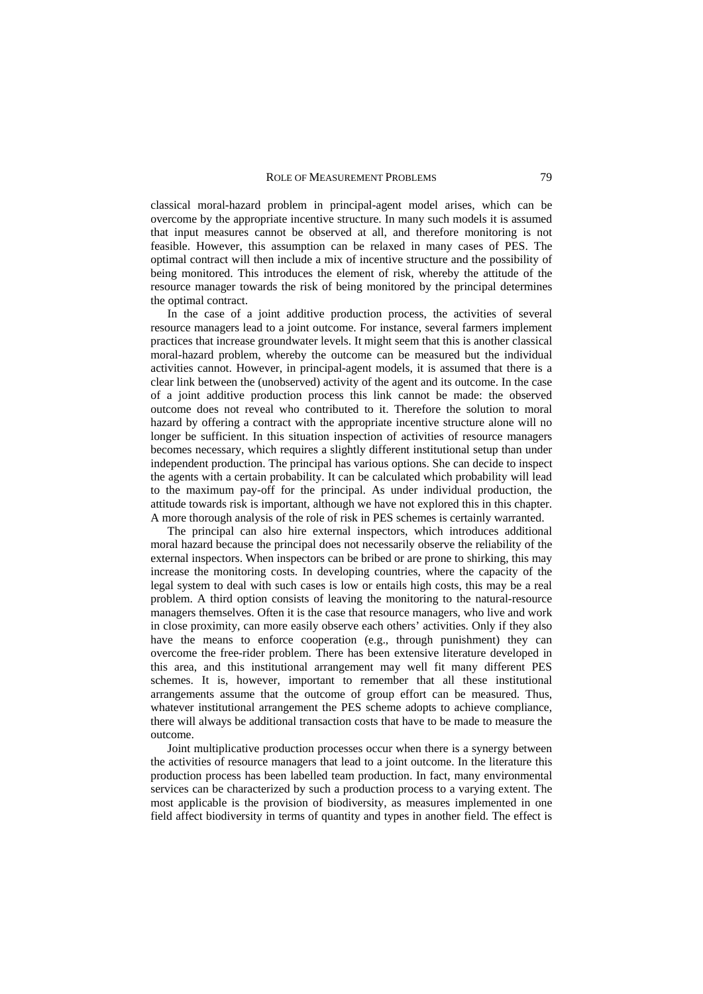classical moral-hazard problem in principal-agent model arises, which can be overcome by the appropriate incentive structure. In many such models it is assumed that input measures cannot be observed at all, and therefore monitoring is not feasible. However, this assumption can be relaxed in many cases of PES. The optimal contract will then include a mix of incentive structure and the possibility of being monitored. This introduces the element of risk, whereby the attitude of the resource manager towards the risk of being monitored by the principal determines the optimal contract.

In the case of a joint additive production process, the activities of several resource managers lead to a joint outcome. For instance, several farmers implement practices that increase groundwater levels. It might seem that this is another classical moral-hazard problem, whereby the outcome can be measured but the individual activities cannot. However, in principal-agent models, it is assumed that there is a clear link between the (unobserved) activity of the agent and its outcome. In the case of a joint additive production process this link cannot be made: the observed outcome does not reveal who contributed to it. Therefore the solution to moral hazard by offering a contract with the appropriate incentive structure alone will no longer be sufficient. In this situation inspection of activities of resource managers becomes necessary, which requires a slightly different institutional setup than under independent production. The principal has various options. She can decide to inspect the agents with a certain probability. It can be calculated which probability will lead to the maximum pay-off for the principal. As under individual production, the attitude towards risk is important, although we have not explored this in this chapter. A more thorough analysis of the role of risk in PES schemes is certainly warranted.

The principal can also hire external inspectors, which introduces additional moral hazard because the principal does not necessarily observe the reliability of the external inspectors. When inspectors can be bribed or are prone to shirking, this may increase the monitoring costs. In developing countries, where the capacity of the legal system to deal with such cases is low or entails high costs, this may be a real problem. A third option consists of leaving the monitoring to the natural-resource managers themselves. Often it is the case that resource managers, who live and work in close proximity, can more easily observe each others' activities. Only if they also have the means to enforce cooperation (e.g., through punishment) they can overcome the free-rider problem. There has been extensive literature developed in this area, and this institutional arrangement may well fit many different PES schemes. It is, however, important to remember that all these institutional arrangements assume that the outcome of group effort can be measured. Thus, whatever institutional arrangement the PES scheme adopts to achieve compliance, there will always be additional transaction costs that have to be made to measure the outcome.

Joint multiplicative production processes occur when there is a synergy between the activities of resource managers that lead to a joint outcome. In the literature this production process has been labelled team production. In fact, many environmental services can be characterized by such a production process to a varying extent. The most applicable is the provision of biodiversity, as measures implemented in one field affect biodiversity in terms of quantity and types in another field. The effect is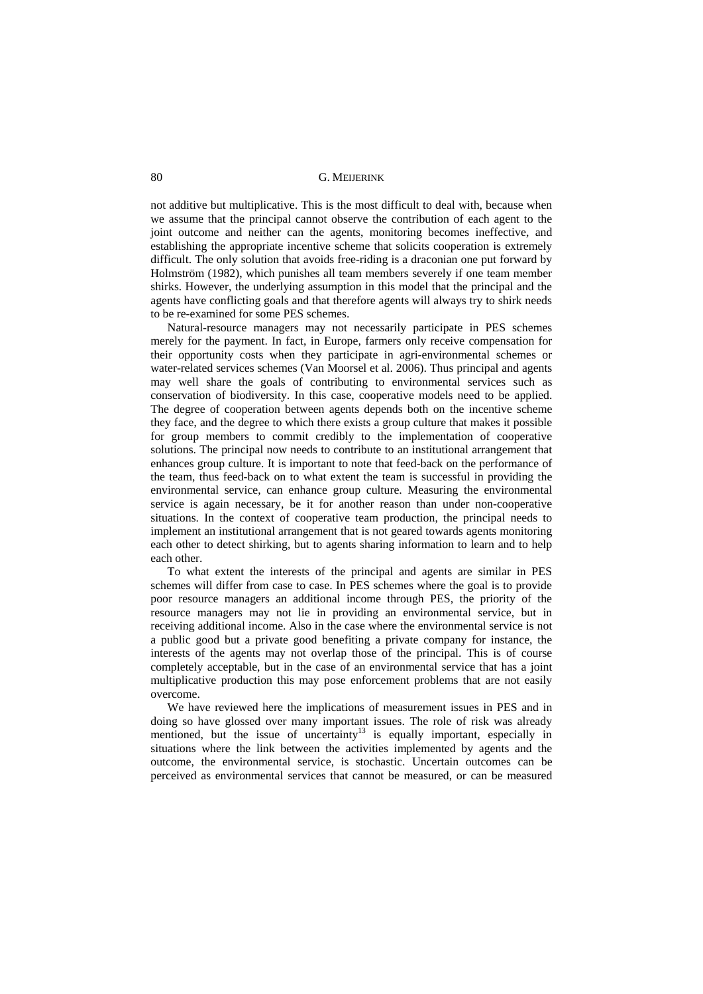not additive but multiplicative. This is the most difficult to deal with, because when we assume that the principal cannot observe the contribution of each agent to the joint outcome and neither can the agents, monitoring becomes ineffective, and establishing the appropriate incentive scheme that solicits cooperation is extremely difficult. The only solution that avoids free-riding is a draconian one put forward by Holmström (1982), which punishes all team members severely if one team member shirks. However, the underlying assumption in this model that the principal and the agents have conflicting goals and that therefore agents will always try to shirk needs to be re-examined for some PES schemes.

Natural-resource managers may not necessarily participate in PES schemes merely for the payment. In fact, in Europe, farmers only receive compensation for their opportunity costs when they participate in agri-environmental schemes or water-related services schemes (Van Moorsel et al. 2006). Thus principal and agents may well share the goals of contributing to environmental services such as conservation of biodiversity. In this case, cooperative models need to be applied. The degree of cooperation between agents depends both on the incentive scheme they face, and the degree to which there exists a group culture that makes it possible for group members to commit credibly to the implementation of cooperative solutions. The principal now needs to contribute to an institutional arrangement that enhances group culture. It is important to note that feed-back on the performance of the team, thus feed-back on to what extent the team is successful in providing the environmental service, can enhance group culture. Measuring the environmental service is again necessary, be it for another reason than under non-cooperative situations. In the context of cooperative team production, the principal needs to implement an institutional arrangement that is not geared towards agents monitoring each other to detect shirking, but to agents sharing information to learn and to help each other.

To what extent the interests of the principal and agents are similar in PES schemes will differ from case to case. In PES schemes where the goal is to provide poor resource managers an additional income through PES, the priority of the resource managers may not lie in providing an environmental service, but in receiving additional income. Also in the case where the environmental service is not a public good but a private good benefiting a private company for instance, the interests of the agents may not overlap those of the principal. This is of course completely acceptable, but in the case of an environmental service that has a joint multiplicative production this may pose enforcement problems that are not easily overcome.

We have reviewed here the implications of measurement issues in PES and in doing so have glossed over many important issues. The role of risk was already mentioned, but the issue of uncertainty<sup>13</sup> is equally important, especially in situations where the link between the activities implemented by agents and the outcome, the environmental service, is stochastic. Uncertain outcomes can be perceived as environmental services that cannot be measured, or can be measured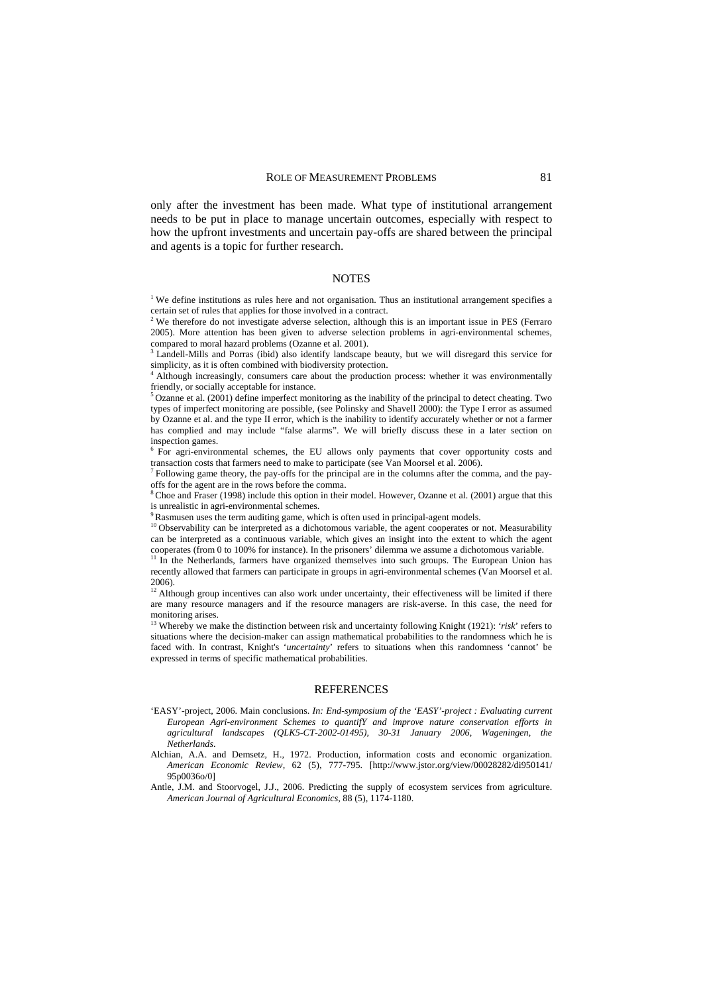only after the investment has been made. What type of institutional arrangement needs to be put in place to manage uncertain outcomes, especially with respect to how the upfront investments and uncertain pay-offs are shared between the principal and agents is a topic for further research.

#### **NOTES**

<sup>1</sup> We define institutions as rules here and not organisation. Thus an institutional arrangement specifies a certain set of rules that applies for those involved in a contract.

<sup>2</sup> We therefore do not investigate adverse selection, although this is an important issue in PES (Ferraro 2005). More attention has been given to adverse selection problems in agri-environmental schemes, compared to moral hazard problems (Ozanne et al. 2001).

<sup>3</sup> Landell-Mills and Porras (ibid) also identify landscape beauty, but we will disregard this service for simplicity, as it is often combined with biodiversity protection.

<sup>4</sup> Although increasingly, consumers care about the production process: whether it was environmentally friendly, or socially acceptable for instance.

 $5$  Ozanne et al. (2001) define imperfect monitoring as the inability of the principal to detect cheating. Two types of imperfect monitoring are possible, (see Polinsky and Shavell 2000): the Type I error as assumed by Ozanne et al. and the type II error, which is the inability to identify accurately whether or not a farmer has complied and may include "false alarms". We will briefly discuss these in a later section on inspection games.

<sup>6</sup> For agri-environmental schemes, the EU allows only payments that cover opportunity costs and transaction costs that farmers need to make to participate (see Van Moorsel et al. 2006).

<sup>7</sup> Following game theory, the pay-offs for the principal are in the columns after the comma, and the payoffs for the agent are in the rows before the comma.

<sup>8</sup> Choe and Fraser (1998) include this option in their model. However, Ozanne et al. (2001) argue that this is unrealistic in agri-environmental schemes.

Rasmusen uses the term auditing game, which is often used in principal-agent models.

<sup>10</sup> Observability can be interpreted as a dichotomous variable, the agent cooperates or not. Measurability can be interpreted as a continuous variable, which gives an insight into the extent to which the agent cooperates (from 0 to 100% for instance). In the prisoners' dilemma we assume a dichotomous variable.<br><sup>11</sup> In the Methania in 600% for instance). In the prisoners' dilemma we assume a dichotomous variable.

In the Netherlands, farmers have organized themselves into such groups. The European Union has recently allowed that farmers can participate in groups in agri-environmental schemes (Van Moorsel et al. 2006).

 $12$  Although group incentives can also work under uncertainty, their effectiveness will be limited if there are many resource managers and if the resource managers are risk-averse. In this case, the need for monitoring arises.

13 Whereby we make the distinction between risk and uncertainty following Knight (1921): '*risk*' refers to situations where the decision-maker can assign mathematical probabilities to the randomness which he is faced with. In contrast, Knight's '*uncertainty*' refers to situations when this randomness 'cannot' be expressed in terms of specific mathematical probabilities.

#### REFERENCES

- 'EASY'-project, 2006. Main conclusions. *In: End-symposium of the 'EASY'-project : Evaluating current European Agri-environment Schemes to quantifY and improve nature conservation efforts in agricultural landscapes (QLK5-CT-2002-01495), 30-31 January 2006, Wageningen, the Netherlands*.
- Alchian, A.A. and Demsetz, H., 1972. Production, information costs and economic organization. *American Economic Review,* 62 (5), 777-795. [http://www.jstor.org/view/00028282/di950141/ 95p0036o/0]
- Antle, J.M. and Stoorvogel, J.J., 2006. Predicting the supply of ecosystem services from agriculture. *American Journal of Agricultural Economics,* 88 (5), 1174-1180.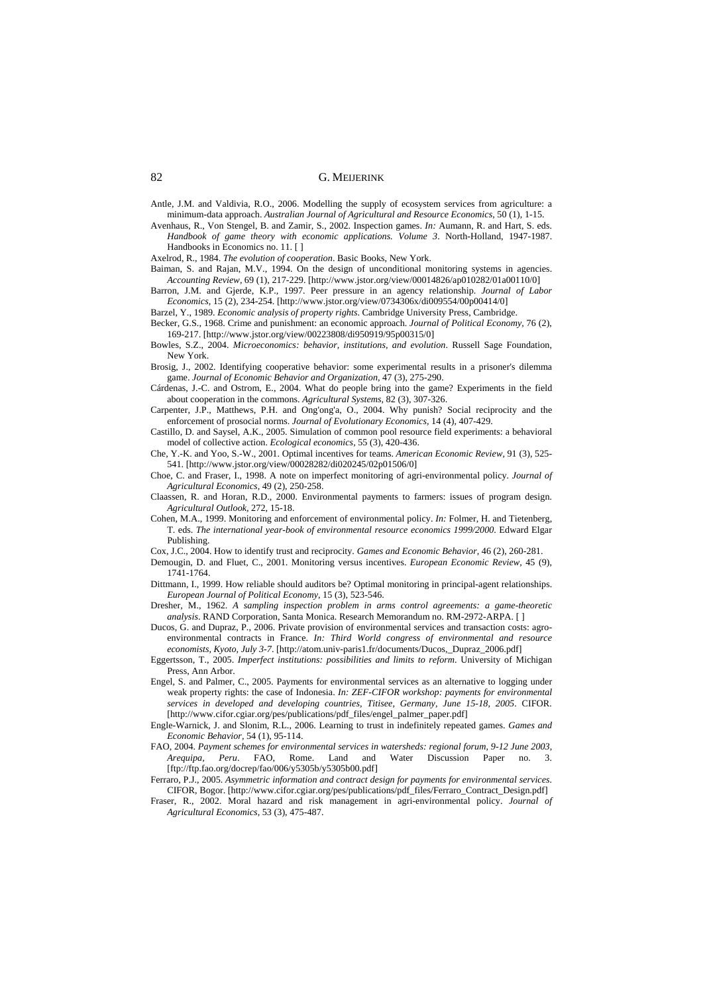Antle, J.M. and Valdivia, R.O., 2006. Modelling the supply of ecosystem services from agriculture: a minimum-data approach. *Australian Journal of Agricultural and Resource Economics,* 50 (1), 1-15.

Avenhaus, R., Von Stengel, B. and Zamir, S., 2002. Inspection games. *In:* Aumann, R. and Hart, S. eds. *Handbook of game theory with economic applications. Volume 3*. North-Holland, 1947-1987. Handbooks in Economics no. 11. [ ]

Axelrod, R., 1984. *The evolution of cooperation*. Basic Books, New York.

Baiman, S. and Rajan, M.V., 1994. On the design of unconditional monitoring systems in agencies. *Accounting Review,* 69 (1), 217-229. [http://www.jstor.org/view/00014826/ap010282/01a00110/0]

Barron, J.M. and Gjerde, K.P., 1997. Peer pressure in an agency relationship. *Journal of Labor Economics,* 15 (2), 234-254. [http://www.jstor.org/view/0734306x/di009554/00p00414/0]

Barzel, Y., 1989. *Economic analysis of property rights*. Cambridge University Press, Cambridge.

Becker, G.S., 1968. Crime and punishment: an economic approach. *Journal of Political Economy,* 76 (2), 169-217. [http://www.jstor.org/view/00223808/di950919/95p00315/0]

Bowles, S.Z., 2004. *Microeconomics: behavior, institutions, and evolution*. Russell Sage Foundation, New York.

Brosig, J., 2002. Identifying cooperative behavior: some experimental results in a prisoner's dilemma game. *Journal of Economic Behavior and Organization,* 47 (3), 275-290.

Cárdenas, J.-C. and Ostrom, E., 2004. What do people bring into the game? Experiments in the field about cooperation in the commons. *Agricultural Systems,* 82 (3), 307-326.

Carpenter, J.P., Matthews, P.H. and Ong'ong'a, O., 2004. Why punish? Social reciprocity and the enforcement of prosocial norms. *Journal of Evolutionary Economics,* 14 (4), 407-429.

Castillo, D. and Saysel, A.K., 2005. Simulation of common pool resource field experiments: a behavioral model of collective action. *Ecological economics,* 55 (3), 420-436.

Che, Y.-K. and Yoo, S.-W., 2001. Optimal incentives for teams. *American Economic Review,* 91 (3), 525- 541. [http://www.jstor.org/view/00028282/di020245/02p01506/0]

Choe, C. and Fraser, I., 1998. A note on imperfect monitoring of agri-environmental policy. *Journal of Agricultural Economics,* 49 (2), 250-258.

Claassen, R. and Horan, R.D., 2000. Environmental payments to farmers: issues of program design. *Agricultural Outlook,* 272, 15-18.

Cohen, M.A., 1999. Monitoring and enforcement of environmental policy. *In:* Folmer, H. and Tietenberg, T. eds. *The international year-book of environmental resource economics 1999/2000*. Edward Elgar Publishing.

Cox, J.C., 2004. How to identify trust and reciprocity. *Games and Economic Behavior,* 46 (2), 260-281.

Demougin, D. and Fluet, C., 2001. Monitoring versus incentives. *European Economic Review,* 45 (9), 1741-1764.

Dittmann, L. 1999. How reliable should auditors be? Optimal monitoring in principal-agent relationships. *European Journal of Political Economy,* 15 (3), 523-546.

Dresher, M., 1962. *A sampling inspection problem in arms control agreements: a game-theoretic analysis*. RAND Corporation, Santa Monica. Research Memorandum no. RM-2972-ARPA. [ ]

Ducos, G. and Dupraz, P., 2006. Private provision of environmental services and transaction costs: agroenvironmental contracts in France. *In: Third World congress of environmental and resource economists, Kyoto, July 3-7*. [http://atom.univ-paris1.fr/documents/Ducos,\_Dupraz\_2006.pdf]

Eggertsson, T., 2005. *Imperfect institutions: possibilities and limits to reform*. University of Michigan Press, Ann Arbor.

Engel, S. and Palmer, C., 2005. Payments for environmental services as an alternative to logging under weak property rights: the case of Indonesia. *In: ZEF-CIFOR workshop: payments for environmental services in developed and developing countries, Titisee, Germany, June 15-18, 2005*. CIFOR. [http://www.cifor.cgiar.org/pes/publications/pdf\_files/engel\_palmer\_paper.pdf]

Engle-Warnick, J. and Slonim, R.L., 2006. Learning to trust in indefinitely repeated games. *Games and Economic Behavior,* 54 (1), 95-114.

FAO, 2004. *Payment schemes for environmental services in watersheds: regional forum, 9-12 June 2003, Arequipa, Peru*. FAO, Rome. Land and Water Discussion Paper no. 3. [ftp://ftp.fao.org/docrep/fao/006/y5305b/y5305b00.pdf]

Ferraro, P.J., 2005. *Asymmetric information and contract design for payments for environmental services*. CIFOR, Bogor. [http://www.cifor.cgiar.org/pes/publications/pdf\_files/Ferraro\_Contract\_Design.pdf]

Fraser, R., 2002. Moral hazard and risk management in agri-environmental policy. *Journal of Agricultural Economics,* 53 (3), 475-487.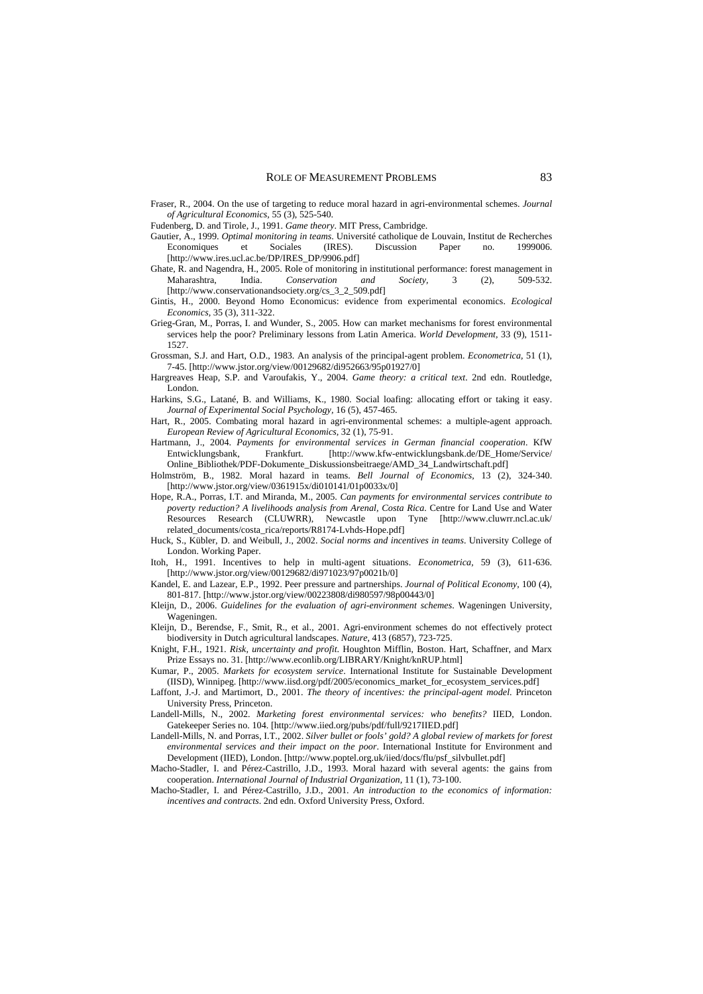- Fraser, R., 2004. On the use of targeting to reduce moral hazard in agri-environmental schemes. *Journal of Agricultural Economics,* 55 (3), 525-540.
- Fudenberg, D. and Tirole, J., 1991. *Game theory*. MIT Press, Cambridge.
- Gautier, A., 1999. *Optimal monitoring in teams*. Université catholique de Louvain, Institut de Recherches Economiques et Sociales (IRES). Discussion Paper no. 1999006. [http://www.ires.ucl.ac.be/DP/IRES\_DP/9906.pdf]
- Ghate, R. and Nagendra, H., 2005. Role of monitoring in institutional performance: forest management in Maharashtra, India. *Conservation and Society,* 3 (2), 509-532. [http://www.conservationandsociety.org/cs\_3\_2\_509.pdf]
- Gintis, H., 2000. Beyond Homo Economicus: evidence from experimental economics. *Ecological Economics,* 35 (3), 311-322.
- Grieg-Gran, M., Porras, I. and Wunder, S., 2005. How can market mechanisms for forest environmental services help the poor? Preliminary lessons from Latin America. *World Development,* 33 (9), 1511- 1527.
- Grossman, S.J. and Hart, O.D., 1983. An analysis of the principal-agent problem. *Econometrica,* 51 (1), 7-45. [http://www.jstor.org/view/00129682/di952663/95p01927/0]
- Hargreaves Heap, S.P. and Varoufakis, Y., 2004. *Game theory: a critical text*. 2nd edn. Routledge, London.
- Harkins, S.G., Latané, B. and Williams, K., 1980. Social loafing: allocating effort or taking it easy. *Journal of Experimental Social Psychology,* 16 (5), 457-465.
- Hart, R., 2005. Combating moral hazard in agri-environmental schemes: a multiple-agent approach. *European Review of Agricultural Economics,* 32 (1), 75-91.
- Hartmann, J., 2004. *Payments for environmental services in German financial cooperation*. KfW Entwicklungsbank, Frankfurt. [http://www.kfw-entwicklungsbank.de/DE\_Home/Service/ Online\_Bibliothek/PDF-Dokumente\_Diskussionsbeitraege/AMD\_34\_Landwirtschaft.pdf]
- Holmström, B., 1982. Moral hazard in teams. *Bell Journal of Economics,* 13 (2), 324-340. [http://www.jstor.org/view/0361915x/di010141/01p0033x/0]
- Hope, R.A., Porras, I.T. and Miranda, M., 2005. *Can payments for environmental services contribute to poverty reduction? A livelihoods analysis from Arenal, Costa Rica*. Centre for Land Use and Water Resources Research (CLUWRR), Newcastle upon Tyne [http://www.cluwrr.ncl.ac.uk/ related\_documents/costa\_rica/reports/R8174-Lvhds-Hope.pdf]
- Huck, S., Kübler, D. and Weibull, J., 2002. *Social norms and incentives in teams*. University College of London. Working Paper.
- Itoh, H., 1991. Incentives to help in multi-agent situations. *Econometrica,* 59 (3), 611-636. [http://www.jstor.org/view/00129682/di971023/97p0021b/0]
- Kandel, E. and Lazear, E.P., 1992. Peer pressure and partnerships. *Journal of Political Economy,* 100 (4), 801-817. [http://www.jstor.org/view/00223808/di980597/98p00443/0]
- Kleijn, D., 2006. *Guidelines for the evaluation of agri-environment schemes*. Wageningen University, Wageningen.
- Kleijn, D., Berendse, F., Smit, R., et al., 2001. Agri-environment schemes do not effectively protect biodiversity in Dutch agricultural landscapes. *Nature,* 413 (6857), 723-725.
- Knight, F.H., 1921. *Risk, uncertainty and profit*. Houghton Mifflin, Boston. Hart, Schaffner, and Marx Prize Essays no. 31. [http://www.econlib.org/LIBRARY/Knight/knRUP.html]
- Kumar, P., 2005. *Markets for ecosystem service*. International Institute for Sustainable Development (IISD), Winnipeg. [http://www.iisd.org/pdf/2005/economics\_market\_for\_ecosystem\_services.pdf]
- Laffont, J.-J. and Martimort, D., 2001. *The theory of incentives: the principal-agent model*. Princeton University Press, Princeton.
- Landell-Mills, N., 2002. *Marketing forest environmental services: who benefits?* IIED, London. Gatekeeper Series no. 104. [http://www.iied.org/pubs/pdf/full/9217IIED.pdf]
- Landell-Mills, N. and Porras, I.T., 2002. *Silver bullet or fools' gold? A global review of markets for forest environmental services and their impact on the poor*. International Institute for Environment and Development (IIED), London. [http://www.poptel.org.uk/iied/docs/flu/psf\_silvbullet.pdf]
- Macho-Stadler, I. and Pérez-Castrillo, J.D., 1993. Moral hazard with several agents: the gains from cooperation. *International Journal of Industrial Organization,* 11 (1), 73-100.
- Macho-Stadler, I. and Pérez-Castrillo, J.D., 2001. *An introduction to the economics of information: incentives and contracts*. 2nd edn. Oxford University Press, Oxford.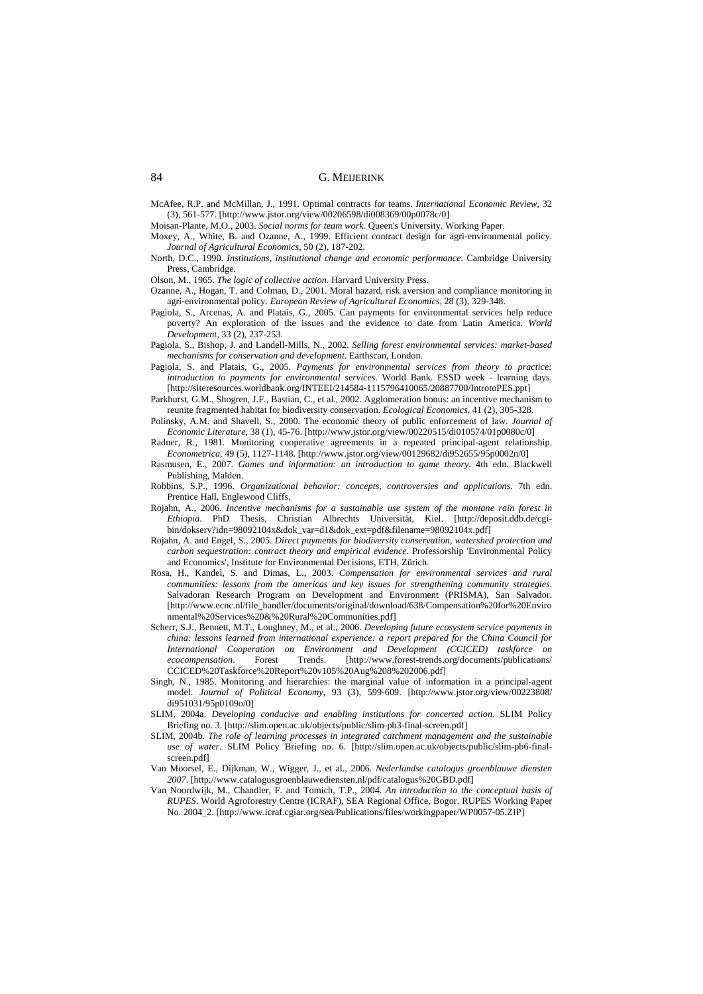McAfee, R.P. and McMillan, J., 1991. Optimal contracts for teams. *International Economic Review,* 32 (3), 561-577. [http://www.jstor.org/view/00206598/di008369/00p0078c/0]

Moisan-Plante, M.O., 2003. *Social norms for team work*. Queen's University. Working Paper.

- Moxey, A., White, B. and Ozanne, A., 1999. Efficient contract design for agri-environmental policy. *Journal of Agricultural Economics,* 50 (2), 187-202.
- North, D.C., 1990. *Institutions, institutional change and economic performance*. Cambridge University Press, Cambridge.
- Olson, M., 1965. *The logic of collective action*. Harvard University Press.
- Ozanne, A., Hogan, T. and Colman, D., 2001. Moral hazard, risk aversion and compliance monitoring in agri-environmental policy. *European Review of Agricultural Economics,* 28 (3), 329-348.
- Pagiola, S., Arcenas, A. and Platais, G., 2005. Can payments for environmental services help reduce poverty? An exploration of the issues and the evidence to date from Latin America. *World Development,* 33 (2), 237-253.
- Pagiola, S., Bishop, J. and Landell-Mills, N., 2002. *Selling forest environmental services: market-based mechanisms for conservation and development*. Earthscan, London.
- Pagiola, S. and Platais, G., 2005. *Payments for environmental services from theory to practice: introduction to payments for environmental services*. World Bank. ESSD week - learning days. [http://siteresources.worldbank.org/INTEEI/214584-1115796410065/20887700/IntrotoPES.ppt]
- Parkhurst, G.M., Shogren, J.F., Bastian, C., et al., 2002. Agglomeration bonus: an incentive mechanism to reunite fragmented habitat for biodiversity conservation. *Ecological Economics,* 41 (2), 305-328.
- Polinsky, A.M. and Shavell, S., 2000. The economic theory of public enforcement of law. *Journal of Economic Literature,* 38 (1), 45-76. [http://www.jstor.org/view/00220515/di010574/01p0080c/0]
- Radner, R., 1981. Monitoring cooperative agreements in a repeated principal-agent relationship. *Econometrica,* 49 (5), 1127-1148. [http://www.jstor.org/view/00129682/di952655/95p0002n/0]
- Rasmusen, E., 2007. *Games and information: an introduction to game theory*. 4th edn. Blackwell Publishing, Malden.
- Robbins, S.P., 1996. *Organizational behavior: concepts, controversies and applications*. 7th edn. Prentice Hall, Englewood Cliffs.
- Rojahn, A., 2006. *Incentive mechanisms for a sustainable use system of the montane rain forest in Ethiopia*. PhD Thesis, Christian Albrechts Universität, Kiel. [http://deposit.ddb.de/cgibin/dokserv?idn=98092104x&dok\_var=d1&dok\_ext=pdf&filename=98092104x.pdf]
- Rojahn, A. and Engel, S., 2005. *Direct payments for biodiversity conservation, watershed protection and carbon sequestration: contract theory and empirical evidence*. Professorship 'Environmental Policy and Economics', Institute for Environmental Decisions, ETH, Zürich.
- Rosa, H., Kandel, S. and Dimas, L., 2003. *Compensation for environmental services and rural communities: lessons from the americas and key issues for strengthening community strategies*. Salvadoran Research Program on Development and Environment (PRISMA), San Salvador. [http://www.ecnc.nl/file\_handler/documents/original/download/638/Compensation%20for%20Enviro nmental%20Services%20&%20Rural%20Communities.pdf]
- Scherr, S.J., Bennett, M.T., Loughney, M., et al., 2006. *Developing future ecosystem service payments in china: lessons learned from international experience: a report prepared for the China Council for International Cooperation on Environment and Development (CCICED) taskforce on ecocompensation*. Forest Trends. [http://www.forest-trends.org/documents/publications/ CCICED%20Taskforce%20Report%20v105%20Aug%208%202006.pdf]
- Singh, N., 1985. Monitoring and hierarchies: the marginal value of information in a principal-agent model. *Journal of Political Economy,* 93 (3), 599-609. [http://www.jstor.org/view/00223808/ di951031/95p0109o/0]
- SLIM, 2004a. *Developing conducive and enabling institutions for concerted action*. SLIM Policy Briefing no. 3. [http://slim.open.ac.uk/objects/public/slim-pb3-final-screen.pdf]
- SLIM, 2004b. *The role of learning processes in integrated catchment management and the sustainable use of water*. SLIM Policy Briefing no. 6. [http://slim.open.ac.uk/objects/public/slim-pb6-finalscreen.pdf]
- Van Moorsel, E., Dijkman, W., Wigger, J., et al., 2006. *Nederlandse catalogus groenblauwe diensten 2007*. [http://www.catalogusgroenblauwediensten.nl/pdf/catalogus%20GBD.pdf]
- Van Noordwijk, M., Chandler, F. and Tomich, T.P., 2004. *An introduction to the conceptual basis of RUPES*. World Agroforestry Centre (ICRAF), SEA Regional Office, Bogor. RUPES Working Paper No. 2004\_2. [http://www.icraf.cgiar.org/sea/Publications/files/workingpaper/WP0057-05.ZIP]